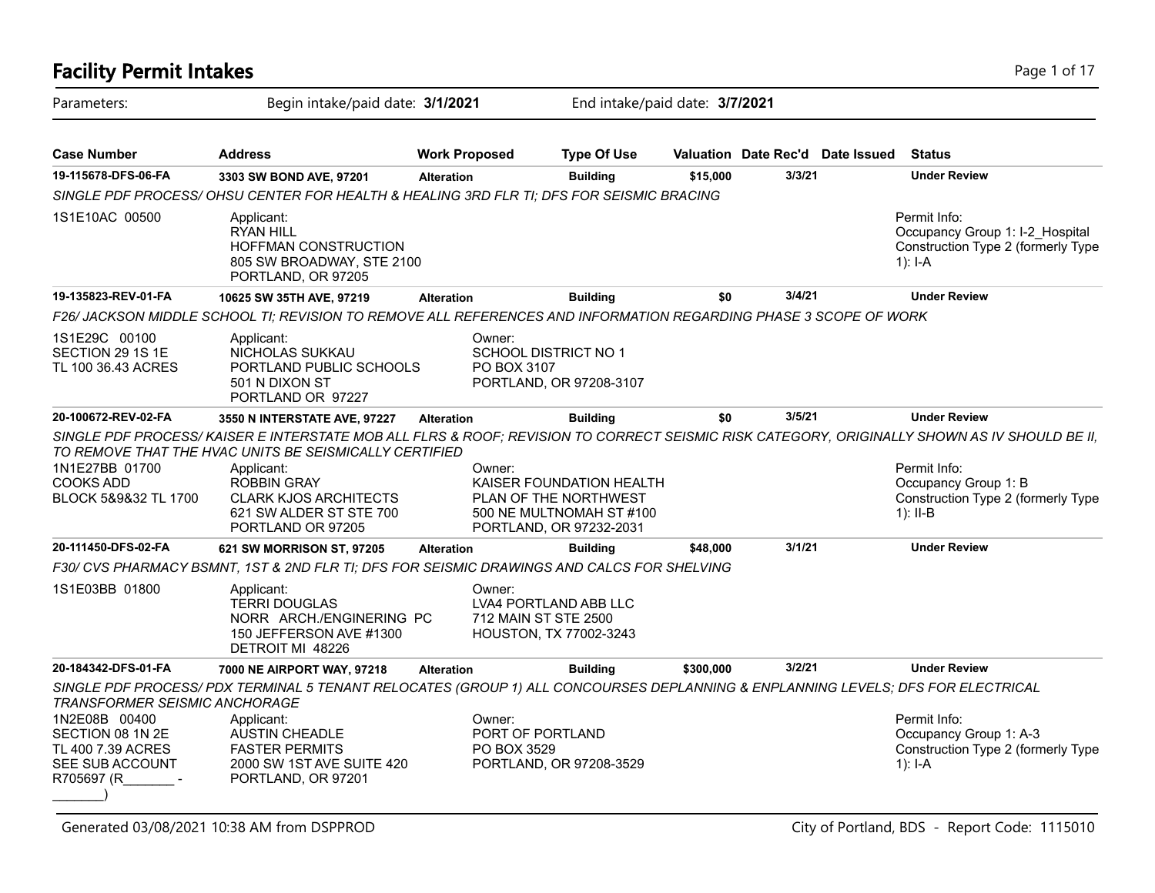| <b>Facility Permit Intakes</b>                                                          |                                                                                                                                                                            |                       |                                                                                                          |           |                                  | Page 1 of 17                                                                                       |
|-----------------------------------------------------------------------------------------|----------------------------------------------------------------------------------------------------------------------------------------------------------------------------|-----------------------|----------------------------------------------------------------------------------------------------------|-----------|----------------------------------|----------------------------------------------------------------------------------------------------|
| Parameters:                                                                             | Begin intake/paid date: 3/1/2021                                                                                                                                           |                       | End intake/paid date: 3/7/2021                                                                           |           |                                  |                                                                                                    |
| <b>Case Number</b>                                                                      | <b>Address</b>                                                                                                                                                             | <b>Work Proposed</b>  | <b>Type Of Use</b>                                                                                       |           | Valuation Date Rec'd Date Issued | <b>Status</b>                                                                                      |
| 19-115678-DFS-06-FA                                                                     | 3303 SW BOND AVE, 97201                                                                                                                                                    | <b>Alteration</b>     | <b>Building</b>                                                                                          | \$15,000  | 3/3/21                           | <b>Under Review</b>                                                                                |
|                                                                                         | SINGLE PDF PROCESS/OHSU CENTER FOR HEALTH & HEALING 3RD FLR TI; DFS FOR SEISMIC BRACING                                                                                    |                       |                                                                                                          |           |                                  |                                                                                                    |
| 1S1E10AC 00500                                                                          | Applicant:<br><b>RYAN HILL</b><br><b>HOFFMAN CONSTRUCTION</b><br>805 SW BROADWAY, STE 2100<br>PORTLAND, OR 97205                                                           |                       |                                                                                                          |           |                                  | Permit Info:<br>Occupancy Group 1: I-2 Hospital<br>Construction Type 2 (formerly Type<br>1): $I-A$ |
| 19-135823-REV-01-FA                                                                     | 10625 SW 35TH AVE, 97219                                                                                                                                                   | <b>Alteration</b>     | <b>Building</b>                                                                                          | \$0       | 3/4/21                           | <b>Under Review</b>                                                                                |
|                                                                                         | F26/ JACKSON MIDDLE SCHOOL TI; REVISION TO REMOVE ALL REFERENCES AND INFORMATION REGARDING PHASE 3 SCOPE OF WORK                                                           |                       |                                                                                                          |           |                                  |                                                                                                    |
| 1S1E29C 00100<br>SECTION 29 1S 1E<br>TL 100 36.43 ACRES                                 | Applicant:<br>NICHOLAS SUKKAU<br>PORTLAND PUBLIC SCHOOLS<br>501 N DIXON ST<br>PORTLAND OR 97227                                                                            | Owner:<br>PO BOX 3107 | <b>SCHOOL DISTRICT NO 1</b><br>PORTLAND, OR 97208-3107                                                   |           |                                  |                                                                                                    |
| 20-100672-REV-02-FA                                                                     | 3550 N INTERSTATE AVE, 97227                                                                                                                                               | <b>Alteration</b>     | <b>Building</b>                                                                                          | \$0       | 3/5/21                           | <b>Under Review</b>                                                                                |
|                                                                                         | SINGLE PDF PROCESS/KAISER E INTERSTATE MOB ALL FLRS & ROOF; REVISION TO CORRECT SEISMIC RISK CATEGORY, ORIGINALLY SHOWN AS IV SHOULD BE II,                                |                       |                                                                                                          |           |                                  |                                                                                                    |
| 1N1E27BB 01700<br><b>COOKS ADD</b><br>BLOCK 5&9&32 TL 1700                              | TO REMOVE THAT THE HVAC UNITS BE SEISMICALLY CERTIFIED<br>Applicant:<br><b>ROBBIN GRAY</b><br><b>CLARK KJOS ARCHITECTS</b><br>621 SW ALDER ST STE 700<br>PORTLAND OR 97205 | Owner:                | KAISER FOUNDATION HEALTH<br>PLAN OF THE NORTHWEST<br>500 NE MULTNOMAH ST #100<br>PORTLAND, OR 97232-2031 |           |                                  | Permit Info:<br>Occupancy Group 1: B<br>Construction Type 2 (formerly Type<br>1): $II-B$           |
| 20-111450-DFS-02-FA                                                                     | 621 SW MORRISON ST, 97205                                                                                                                                                  | <b>Alteration</b>     | <b>Building</b>                                                                                          | \$48,000  | 3/1/21                           | <b>Under Review</b>                                                                                |
|                                                                                         | F30/ CVS PHARMACY BSMNT, 1ST & 2ND FLR TI; DFS FOR SEISMIC DRAWINGS AND CALCS FOR SHELVING                                                                                 |                       |                                                                                                          |           |                                  |                                                                                                    |
| 1S1E03BB 01800                                                                          | Applicant:<br><b>TERRI DOUGLAS</b><br>NORR ARCH./ENGINERING PC<br>150 JEFFERSON AVE #1300<br>DETROIT MI 48226                                                              | Owner:                | LVA4 PORTLAND ABB LLC<br>712 MAIN ST STE 2500<br>HOUSTON, TX 77002-3243                                  |           |                                  |                                                                                                    |
| 20-184342-DFS-01-FA                                                                     | 7000 NE AIRPORT WAY, 97218                                                                                                                                                 | <b>Alteration</b>     | <b>Building</b>                                                                                          | \$300,000 | 3/2/21                           | <b>Under Review</b>                                                                                |
| <b>TRANSFORMER SEISMIC ANCHORAGE</b>                                                    | SINGLE PDF PROCESS/PDX TERMINAL 5 TENANT RELOCATES (GROUP 1) ALL CONCOURSES DEPLANNING & ENPLANNING LEVELS; DFS FOR ELECTRICAL                                             |                       |                                                                                                          |           |                                  |                                                                                                    |
| 1N2E08B 00400<br>SECTION 08 1N 2E<br>TL 400 7.39 ACRES<br>SEE SUB ACCOUNT<br>R705697 (R | Applicant:<br><b>AUSTIN CHEADLE</b><br><b>FASTER PERMITS</b><br>2000 SW 1ST AVE SUITE 420<br>PORTLAND, OR 97201                                                            | Owner:<br>PO BOX 3529 | PORT OF PORTLAND<br>PORTLAND, OR 97208-3529                                                              |           |                                  | Permit Info:<br>Occupancy Group 1: A-3<br>Construction Type 2 (formerly Type<br>1): $I-A$          |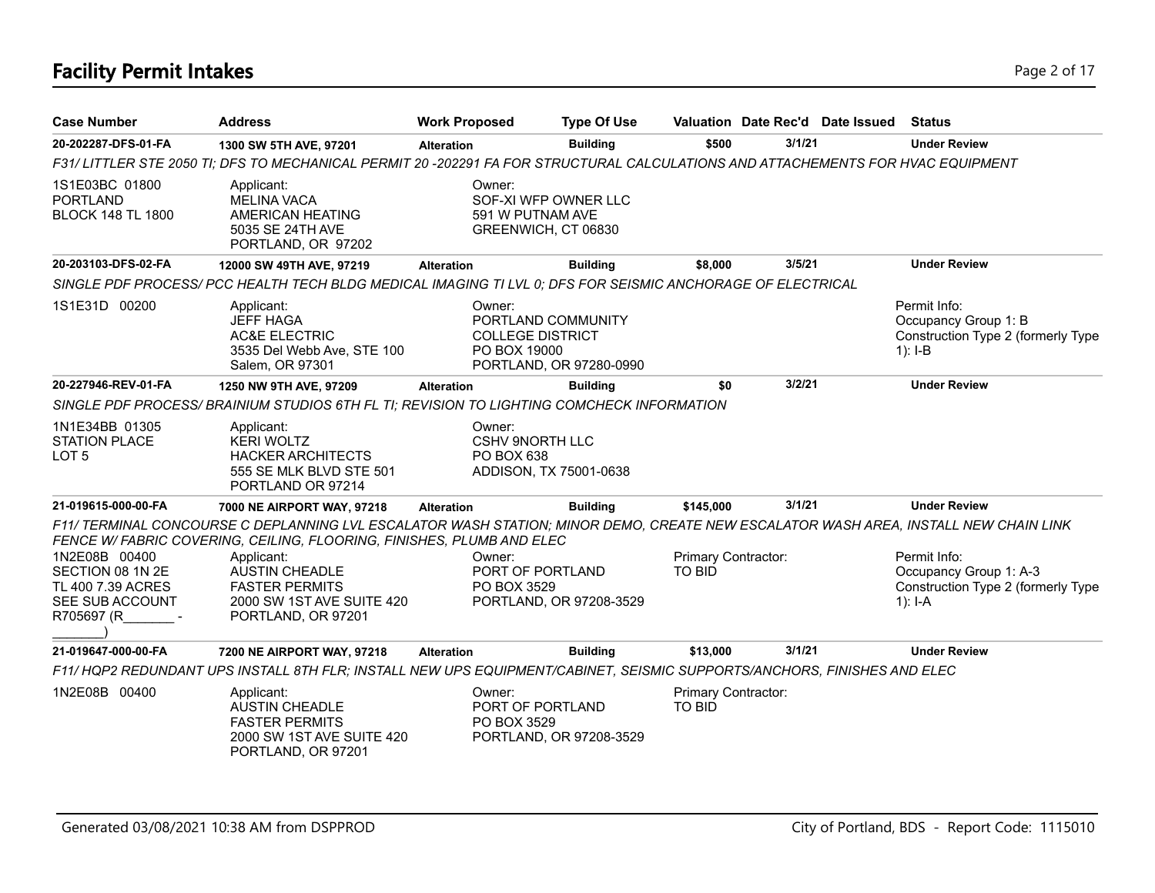# **Facility Permit Intakes** Page 2 of 17

| <b>Case Number</b>                                                                      | <b>Address</b>                                                                                                                                                                                               | <b>Work Proposed</b>   | <b>Type Of Use</b>                                                       |                                      |        | Valuation Date Rec'd Date Issued | <b>Status</b>                                                                               |
|-----------------------------------------------------------------------------------------|--------------------------------------------------------------------------------------------------------------------------------------------------------------------------------------------------------------|------------------------|--------------------------------------------------------------------------|--------------------------------------|--------|----------------------------------|---------------------------------------------------------------------------------------------|
| 20-202287-DFS-01-FA                                                                     | 1300 SW 5TH AVE, 97201                                                                                                                                                                                       | <b>Alteration</b>      | <b>Building</b>                                                          | \$500                                | 3/1/21 |                                  | <b>Under Review</b>                                                                         |
|                                                                                         | F31/LITTLER STE 2050 TI; DFS TO MECHANICAL PERMIT 20-202291 FA FOR STRUCTURAL CALCULATIONS AND ATTACHEMENTS FOR HVAC EQUIPMENT                                                                               |                        |                                                                          |                                      |        |                                  |                                                                                             |
| 1S1E03BC 01800<br><b>PORTLAND</b><br><b>BLOCK 148 TL 1800</b>                           | Applicant:<br><b>MELINA VACA</b><br>AMERICAN HEATING<br>5035 SE 24TH AVE<br>PORTLAND, OR 97202                                                                                                               | Owner:                 | SOF-XI WFP OWNER LLC<br>591 W PUTNAM AVE<br>GREENWICH, CT 06830          |                                      |        |                                  |                                                                                             |
| 20-203103-DFS-02-FA                                                                     | 12000 SW 49TH AVE, 97219                                                                                                                                                                                     | <b>Alteration</b>      | <b>Building</b>                                                          | \$8,000                              | 3/5/21 |                                  | <b>Under Review</b>                                                                         |
|                                                                                         | SINGLE PDF PROCESS/ PCC HEALTH TECH BLDG MEDICAL IMAGING TI LVL 0; DFS FOR SEISMIC ANCHORAGE OF ELECTRICAL                                                                                                   |                        |                                                                          |                                      |        |                                  |                                                                                             |
| 1S1E31D 00200                                                                           | Applicant:<br><b>JEFF HAGA</b><br><b>AC&amp;E ELECTRIC</b><br>3535 Del Webb Ave, STE 100<br>Salem, OR 97301                                                                                                  | Owner:<br>PO BOX 19000 | PORTLAND COMMUNITY<br><b>COLLEGE DISTRICT</b><br>PORTLAND, OR 97280-0990 |                                      |        |                                  | Permit Info:<br>Occupancy Group 1: B<br>Construction Type 2 (formerly Type<br>$1$ : I-B     |
| 20-227946-REV-01-FA                                                                     | 1250 NW 9TH AVE, 97209                                                                                                                                                                                       | <b>Alteration</b>      | <b>Building</b>                                                          | \$0                                  | 3/2/21 |                                  | <b>Under Review</b>                                                                         |
|                                                                                         | SINGLE PDF PROCESS/ BRAINIUM STUDIOS 6TH FL TI; REVISION TO LIGHTING COMCHECK INFORMATION                                                                                                                    |                        |                                                                          |                                      |        |                                  |                                                                                             |
| 1N1E34BB 01305<br><b>STATION PLACE</b><br>LOT <sub>5</sub>                              | Applicant:<br><b>KERI WOLTZ</b><br><b>HACKER ARCHITECTS</b><br>555 SE MLK BLVD STE 501<br>PORTLAND OR 97214                                                                                                  | Owner:<br>PO BOX 638   | <b>CSHV 9NORTH LLC</b><br>ADDISON, TX 75001-0638                         |                                      |        |                                  |                                                                                             |
| 21-019615-000-00-FA                                                                     | 7000 NE AIRPORT WAY, 97218                                                                                                                                                                                   | <b>Alteration</b>      | <b>Building</b>                                                          | \$145,000                            | 3/1/21 |                                  | <b>Under Review</b>                                                                         |
|                                                                                         | F11/ TERMINAL CONCOURSE C DEPLANNING LVL ESCALATOR WASH STATION; MINOR DEMO, CREATE NEW ESCALATOR WASH AREA, INSTALL NEW CHAIN LINK<br>FENCE W/ FABRIC COVERING, CEILING, FLOORING, FINISHES, PLUMB AND ELEC |                        |                                                                          |                                      |        |                                  |                                                                                             |
| 1N2E08B 00400<br>SECTION 08 1N 2E<br>TL 400 7.39 ACRES<br>SEE SUB ACCOUNT<br>R705697 (R | Applicant:<br><b>AUSTIN CHEADLE</b><br><b>FASTER PERMITS</b><br>2000 SW 1ST AVE SUITE 420<br>PORTLAND, OR 97201                                                                                              | Owner:<br>PO BOX 3529  | PORT OF PORTLAND<br>PORTLAND, OR 97208-3529                              | Primary Contractor:<br><b>TO BID</b> |        |                                  | Permit Info:<br>Occupancy Group 1: A-3<br>Construction Type 2 (formerly Type<br>1): $I - A$ |
| 21-019647-000-00-FA                                                                     | 7200 NE AIRPORT WAY, 97218                                                                                                                                                                                   | <b>Alteration</b>      | <b>Building</b>                                                          | \$13,000                             | 3/1/21 |                                  | <b>Under Review</b>                                                                         |
|                                                                                         | F11/HQP2 REDUNDANT UPS INSTALL 8TH FLR; INSTALL NEW UPS EQUIPMENT/CABINET, SEISMIC SUPPORTS/ANCHORS, FINISHES AND ELEC                                                                                       |                        |                                                                          |                                      |        |                                  |                                                                                             |
| 1N2E08B 00400                                                                           | Applicant:<br><b>AUSTIN CHEADLE</b><br><b>FASTER PERMITS</b><br>2000 SW 1ST AVE SUITE 420<br>PORTLAND, OR 97201                                                                                              | Owner:<br>PO BOX 3529  | PORT OF PORTLAND<br>PORTLAND, OR 97208-3529                              | Primary Contractor:<br><b>TO BID</b> |        |                                  |                                                                                             |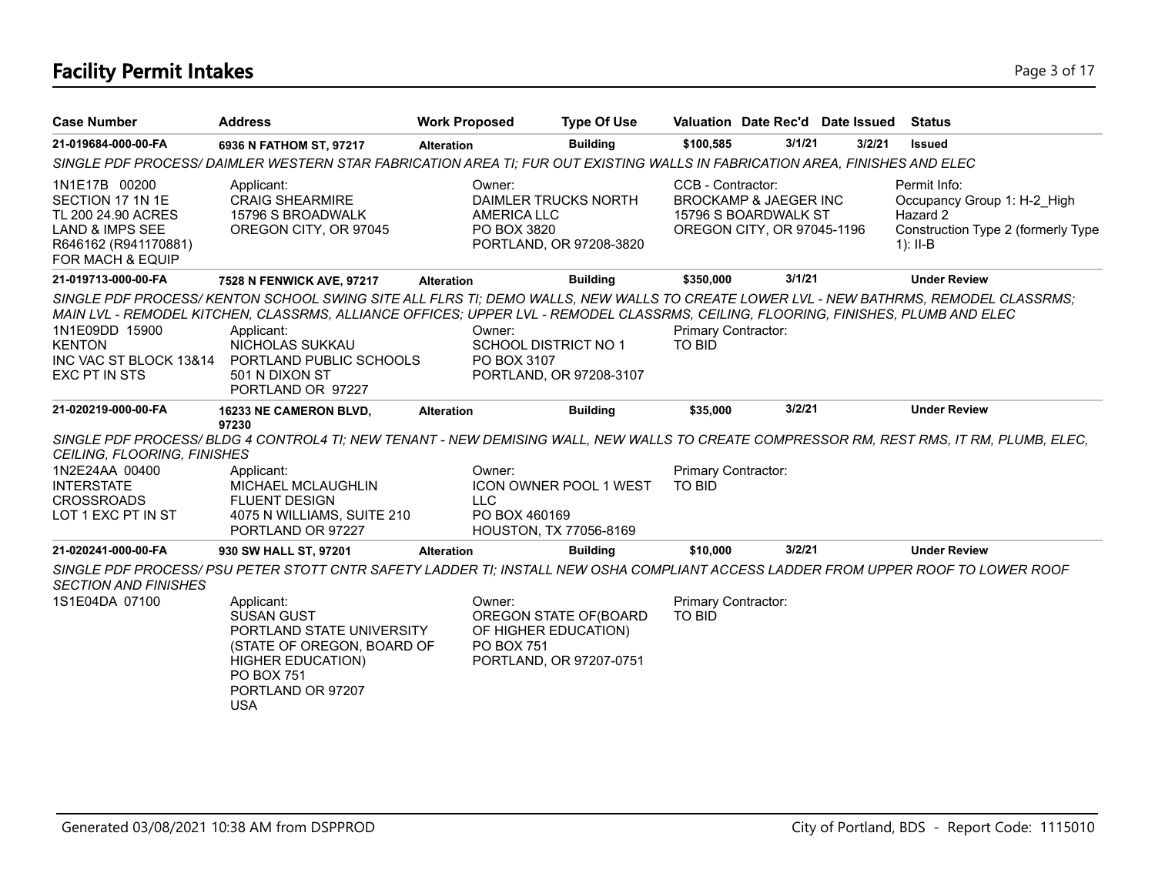# **Facility Permit Intakes** Page 3 of 17

| <b>Case Number</b>                                                                                                                | <b>Address</b>                                                                                                                                                                                                                                                                                            | <b>Work Proposed</b> |                                                                                                          | <b>Type Of Use</b> | Valuation Date Rec'd Date Issued                                                                            |        |        | <b>Status</b>                                                                                               |
|-----------------------------------------------------------------------------------------------------------------------------------|-----------------------------------------------------------------------------------------------------------------------------------------------------------------------------------------------------------------------------------------------------------------------------------------------------------|----------------------|----------------------------------------------------------------------------------------------------------|--------------------|-------------------------------------------------------------------------------------------------------------|--------|--------|-------------------------------------------------------------------------------------------------------------|
| 21-019684-000-00-FA                                                                                                               | 6936 N FATHOM ST, 97217                                                                                                                                                                                                                                                                                   | <b>Alteration</b>    |                                                                                                          | <b>Building</b>    | \$100,585                                                                                                   | 3/1/21 | 3/2/21 | <b>Issued</b>                                                                                               |
|                                                                                                                                   | SINGLE PDF PROCESS/DAIMLER WESTERN STAR FABRICATION AREA TI; FUR OUT EXISTING WALLS IN FABRICATION AREA, FINISHES AND ELEC                                                                                                                                                                                |                      |                                                                                                          |                    |                                                                                                             |        |        |                                                                                                             |
| 1N1E17B 00200<br>SECTION 17 1N 1E<br>TL 200 24.90 ACRES<br><b>LAND &amp; IMPS SEE</b><br>R646162 (R941170881)<br>FOR MACH & EQUIP | Applicant:<br><b>CRAIG SHEARMIRE</b><br>15796 S BROADWALK<br>OREGON CITY, OR 97045                                                                                                                                                                                                                        |                      | Owner:<br>DAIMLER TRUCKS NORTH<br><b>AMERICA LLC</b><br>PO BOX 3820<br>PORTLAND, OR 97208-3820           |                    | CCB - Contractor:<br><b>BROCKAMP &amp; JAEGER INC</b><br>15796 S BOARDWALK ST<br>OREGON CITY, OR 97045-1196 |        |        | Permit Info:<br>Occupancy Group 1: H-2 High<br>Hazard 2<br>Construction Type 2 (formerly Type<br>$1$ : II-B |
| 21-019713-000-00-FA                                                                                                               | 7528 N FENWICK AVE, 97217                                                                                                                                                                                                                                                                                 | <b>Alteration</b>    |                                                                                                          | <b>Building</b>    | \$350,000                                                                                                   | 3/1/21 |        | <b>Under Review</b>                                                                                         |
| 1N1E09DD 15900<br><b>KENTON</b>                                                                                                   | SINGLE PDF PROCESS/KENTON SCHOOL SWING SITE ALL FLRS TI; DEMO WALLS, NEW WALLS TO CREATE LOWER LVL - NEW BATHRMS, REMODEL CLASSRMS;<br>MAIN LVL - REMODEL KITCHEN, CLASSRMS, ALLIANCE OFFICES; UPPER LVL - REMODEL CLASSRMS, CEILING, FLOORING, FINISHES, PLUMB AND ELEC<br>Applicant:<br>NICHOLAS SUKKAU |                      | Owner:<br><b>SCHOOL DISTRICT NO 1</b>                                                                    |                    | Primary Contractor:<br><b>TO BID</b>                                                                        |        |        |                                                                                                             |
| INC VAC ST BLOCK 13&14<br>EXC PT IN STS                                                                                           | PORTLAND PUBLIC SCHOOLS<br>501 N DIXON ST<br>PORTLAND OR 97227                                                                                                                                                                                                                                            |                      | PO BOX 3107<br>PORTLAND, OR 97208-3107                                                                   |                    |                                                                                                             |        |        |                                                                                                             |
| 21-020219-000-00-FA                                                                                                               | 16233 NE CAMERON BLVD,                                                                                                                                                                                                                                                                                    | <b>Alteration</b>    |                                                                                                          | <b>Building</b>    | \$35,000                                                                                                    | 3/2/21 |        | <b>Under Review</b>                                                                                         |
| <b>CEILING, FLOORING, FINISHES</b>                                                                                                | 97230<br>SINGLE PDF PROCESS/BLDG 4 CONTROL4 TI; NEW TENANT - NEW DEMISING WALL, NEW WALLS TO CREATE COMPRESSOR RM, REST RMS, IT RM, PLUMB, ELEC,                                                                                                                                                          |                      |                                                                                                          |                    |                                                                                                             |        |        |                                                                                                             |
| 1N2E24AA 00400<br><b>INTERSTATE</b><br><b>CROSSROADS</b><br>LOT 1 EXC PT IN ST                                                    | Applicant:<br><b>MICHAEL MCLAUGHLIN</b><br><b>FLUENT DESIGN</b><br>4075 N WILLIAMS, SUITE 210<br>PORTLAND OR 97227                                                                                                                                                                                        |                      | Owner:<br><b>ICON OWNER POOL 1 WEST</b><br><b>LLC</b><br>PO BOX 460169<br>HOUSTON, TX 77056-8169         |                    | Primary Contractor:<br><b>TO BID</b>                                                                        |        |        |                                                                                                             |
| 21-020241-000-00-FA                                                                                                               | 930 SW HALL ST, 97201                                                                                                                                                                                                                                                                                     | <b>Alteration</b>    |                                                                                                          | <b>Building</b>    | \$10,000                                                                                                    | 3/2/21 |        | <b>Under Review</b>                                                                                         |
| <b>SECTION AND FINISHES</b>                                                                                                       | SINGLE PDF PROCESS/ PSU PETER STOTT CNTR SAFETY LADDER TI: INSTALL NEW OSHA COMPLIANT ACCESS LADDER FROM UPPER ROOF TO LOWER ROOF                                                                                                                                                                         |                      |                                                                                                          |                    |                                                                                                             |        |        |                                                                                                             |
| 1S1E04DA 07100                                                                                                                    | Applicant:<br><b>SUSAN GUST</b><br>PORTLAND STATE UNIVERSITY<br>(STATE OF OREGON, BOARD OF<br><b>HIGHER EDUCATION)</b><br><b>PO BOX 751</b><br>PORTLAND OR 97207<br><b>USA</b>                                                                                                                            |                      | Owner:<br>OREGON STATE OF (BOARD<br>OF HIGHER EDUCATION)<br><b>PO BOX 751</b><br>PORTLAND, OR 97207-0751 |                    | Primary Contractor:<br><b>TO BID</b>                                                                        |        |        |                                                                                                             |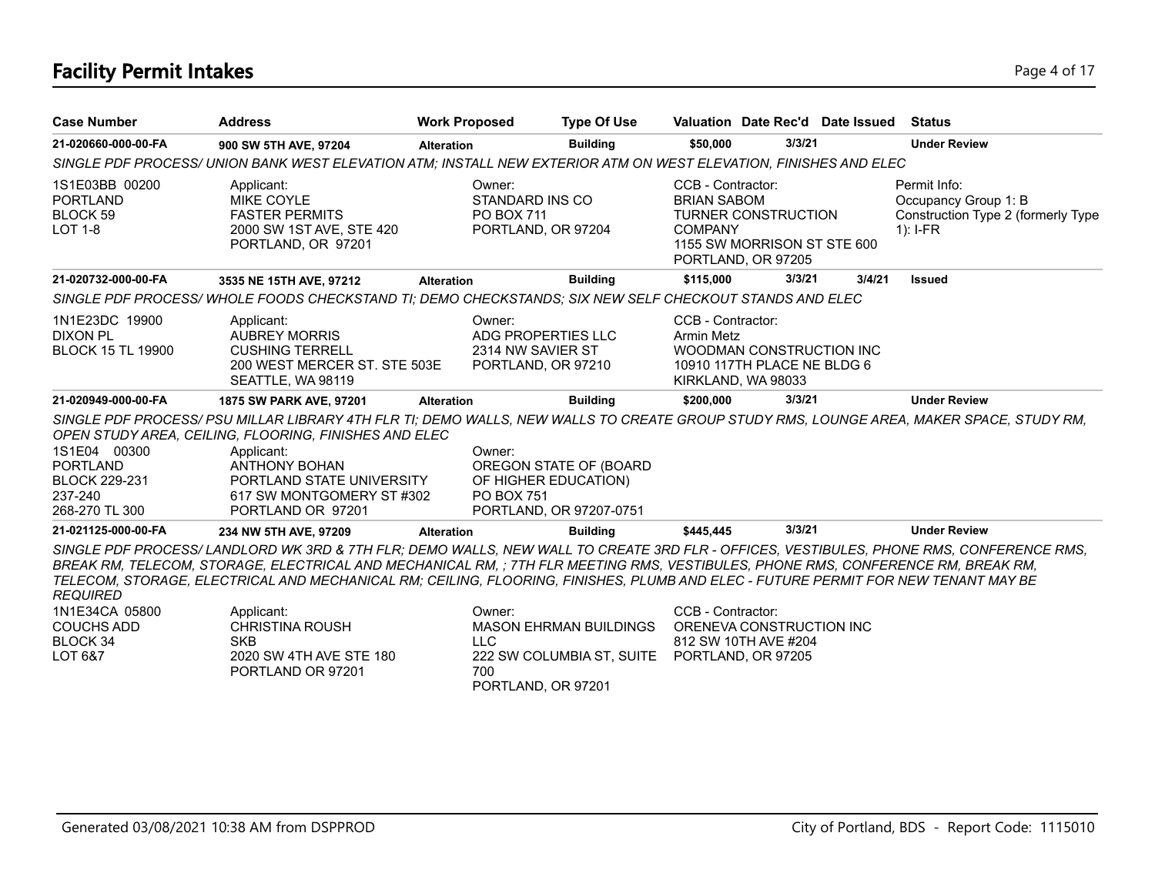# **Facility Permit Intakes** Page 4 of 17

| <b>Case Number</b>                                                                   | <b>Address</b>                                                                                                                                                                                                                                                                                                                                                                                                                                                                                                         | <b>Work Proposed</b> |                                                                         | <b>Type Of Use</b>                                         | Valuation Date Rec'd Date Issued                                                                                                             |        |        | <b>Status</b>                                                                            |
|--------------------------------------------------------------------------------------|------------------------------------------------------------------------------------------------------------------------------------------------------------------------------------------------------------------------------------------------------------------------------------------------------------------------------------------------------------------------------------------------------------------------------------------------------------------------------------------------------------------------|----------------------|-------------------------------------------------------------------------|------------------------------------------------------------|----------------------------------------------------------------------------------------------------------------------------------------------|--------|--------|------------------------------------------------------------------------------------------|
| 21-020660-000-00-FA                                                                  | 900 SW 5TH AVE, 97204                                                                                                                                                                                                                                                                                                                                                                                                                                                                                                  | <b>Alteration</b>    |                                                                         | <b>Building</b>                                            | \$50,000                                                                                                                                     | 3/3/21 |        | <b>Under Review</b>                                                                      |
|                                                                                      | SINGLE PDF PROCESS/ UNION BANK WEST ELEVATION ATM; INSTALL NEW EXTERIOR ATM ON WEST ELEVATION, FINISHES AND ELEC                                                                                                                                                                                                                                                                                                                                                                                                       |                      |                                                                         |                                                            |                                                                                                                                              |        |        |                                                                                          |
| 1S1E03BB 00200<br><b>PORTLAND</b><br>BLOCK 59<br><b>LOT 1-8</b>                      | Applicant:<br><b>MIKE COYLE</b><br><b>FASTER PERMITS</b><br>2000 SW 1ST AVE, STE 420<br>PORTLAND, OR 97201                                                                                                                                                                                                                                                                                                                                                                                                             |                      | Owner:<br>STANDARD INS CO<br>PO BOX 711<br>PORTLAND, OR 97204           |                                                            | CCB - Contractor:<br><b>BRIAN SABOM</b><br><b>TURNER CONSTRUCTION</b><br><b>COMPANY</b><br>1155 SW MORRISON ST STE 600<br>PORTLAND, OR 97205 |        |        | Permit Info:<br>Occupancy Group 1: B<br>Construction Type 2 (formerly Type<br>$1$ : I-FR |
| 21-020732-000-00-FA                                                                  | 3535 NE 15TH AVE, 97212                                                                                                                                                                                                                                                                                                                                                                                                                                                                                                | <b>Alteration</b>    |                                                                         | <b>Building</b>                                            | \$115,000                                                                                                                                    | 3/3/21 | 3/4/21 | <b>Issued</b>                                                                            |
|                                                                                      | SINGLE PDF PROCESS/WHOLE FOODS CHECKSTAND TI; DEMO CHECKSTANDS; SIX NEW SELF CHECKOUT STANDS AND ELEC                                                                                                                                                                                                                                                                                                                                                                                                                  |                      |                                                                         |                                                            |                                                                                                                                              |        |        |                                                                                          |
| 1N1E23DC 19900<br><b>DIXON PL</b><br><b>BLOCK 15 TL 19900</b>                        | Applicant:<br><b>AUBREY MORRIS</b><br><b>CUSHING TERRELL</b><br>200 WEST MERCER ST. STE 503E<br>SEATTLE, WA 98119                                                                                                                                                                                                                                                                                                                                                                                                      |                      | Owner:<br>ADG PROPERTIES LLC<br>2314 NW SAVIER ST<br>PORTLAND, OR 97210 |                                                            | CCB - Contractor:<br><b>Armin Metz</b><br>WOODMAN CONSTRUCTION INC<br>10910 117TH PLACE NE BLDG 6<br>KIRKLAND, WA 98033                      |        |        |                                                                                          |
| 21-020949-000-00-FA                                                                  | 1875 SW PARK AVE, 97201                                                                                                                                                                                                                                                                                                                                                                                                                                                                                                | <b>Alteration</b>    |                                                                         | <b>Building</b>                                            | \$200,000                                                                                                                                    | 3/3/21 |        | <b>Under Review</b>                                                                      |
|                                                                                      | SINGLE PDF PROCESS/ PSU MILLAR LIBRARY 4TH FLR TI; DEMO WALLS, NEW WALLS TO CREATE GROUP STUDY RMS, LOUNGE AREA, MAKER SPACE, STUDY RM,<br>OPEN STUDY AREA, CEILING, FLOORING, FINISHES AND ELEC                                                                                                                                                                                                                                                                                                                       |                      |                                                                         |                                                            |                                                                                                                                              |        |        |                                                                                          |
| 1S1E04 00300<br><b>PORTLAND</b><br><b>BLOCK 229-231</b><br>237-240<br>268-270 TL 300 | Applicant:<br><b>ANTHONY BOHAN</b><br>PORTLAND STATE UNIVERSITY<br>617 SW MONTGOMERY ST #302<br>PORTLAND OR 97201                                                                                                                                                                                                                                                                                                                                                                                                      |                      | Owner:<br>OF HIGHER EDUCATION)<br><b>PO BOX 751</b>                     | OREGON STATE OF (BOARD<br>PORTLAND, OR 97207-0751          |                                                                                                                                              |        |        |                                                                                          |
| 21-021125-000-00-FA                                                                  | 234 NW 5TH AVE, 97209                                                                                                                                                                                                                                                                                                                                                                                                                                                                                                  | <b>Alteration</b>    |                                                                         | <b>Building</b>                                            | \$445,445                                                                                                                                    | 3/3/21 |        | <b>Under Review</b>                                                                      |
| <b>REQUIRED</b><br>1N1E34CA 05800<br><b>COUCHS ADD</b><br>BLOCK 34<br>LOT 6&7        | SINGLE PDF PROCESS/ LANDLORD WK 3RD & 7TH FLR; DEMO WALLS, NEW WALL TO CREATE 3RD FLR - OFFICES, VESTIBULES, PHONE RMS, CONFERENCE RMS,<br>BREAK RM, TELECOM, STORAGE, ELECTRICAL AND MECHANICAL RM, ; 7TH FLR MEETING RMS, VESTIBULES, PHONE RMS, CONFERENCE RM, BREAK RM,<br>TELECOM, STORAGE, ELECTRICAL AND MECHANICAL RM; CEILING, FLOORING, FINISHES, PLUMB AND ELEC - FUTURE PERMIT FOR NEW TENANT MAY BE<br>Applicant:<br><b>CHRISTINA ROUSH</b><br><b>SKB</b><br>2020 SW 4TH AVE STE 180<br>PORTLAND OR 97201 |                      | Owner:<br><b>LLC</b><br>700<br>PORTLAND, OR 97201                       | <b>MASON EHRMAN BUILDINGS</b><br>222 SW COLUMBIA ST, SUITE | CCB - Contractor:<br>ORENEVA CONSTRUCTION INC<br>812 SW 10TH AVE #204<br>PORTLAND, OR 97205                                                  |        |        |                                                                                          |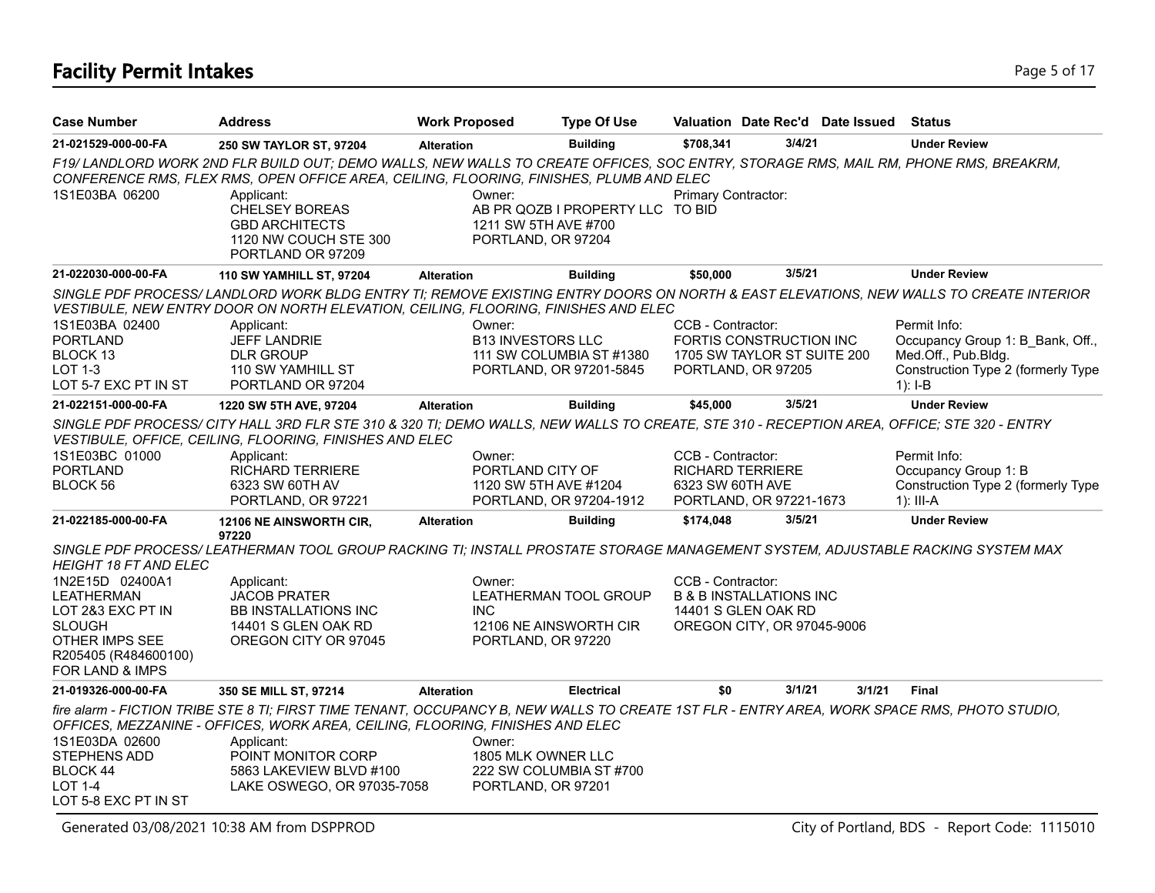### **Facility Permit Intakes** Page 5 of 17

| <b>Case Number</b>                                                                                                                      | <b>Address</b>                                                                                                                                                                                                                                                                                                                              | <b>Work Proposed</b>                                 | <b>Type Of Use</b>                                  |                                       | Valuation Date Rec'd Date Issued                                                        |        | Status                                                                                                     |
|-----------------------------------------------------------------------------------------------------------------------------------------|---------------------------------------------------------------------------------------------------------------------------------------------------------------------------------------------------------------------------------------------------------------------------------------------------------------------------------------------|------------------------------------------------------|-----------------------------------------------------|---------------------------------------|-----------------------------------------------------------------------------------------|--------|------------------------------------------------------------------------------------------------------------|
| 21-021529-000-00-FA                                                                                                                     | 250 SW TAYLOR ST, 97204                                                                                                                                                                                                                                                                                                                     | <b>Alteration</b>                                    | <b>Building</b>                                     | \$708.341                             | 3/4/21                                                                                  |        | <b>Under Review</b>                                                                                        |
| 1S1E03BA 06200                                                                                                                          | F19/LANDLORD WORK 2ND FLR BUILD OUT; DEMO WALLS, NEW WALLS TO CREATE OFFICES, SOC ENTRY, STORAGE RMS, MAIL RM, PHONE RMS, BREAKRM,<br>CONFERENCE RMS, FLEX RMS, OPEN OFFICE AREA, CEILING, FLOORING, FINISHES, PLUMB AND ELEC<br>Applicant:<br><b>CHELSEY BOREAS</b><br><b>GBD ARCHITECTS</b><br>1120 NW COUCH STE 300<br>PORTLAND OR 97209 | Owner:<br>1211 SW 5TH AVE #700<br>PORTLAND, OR 97204 | AB PR QOZB I PROPERTY LLC TO BID                    | Primary Contractor:                   |                                                                                         |        |                                                                                                            |
| 21-022030-000-00-FA                                                                                                                     | <b>110 SW YAMHILL ST, 97204</b>                                                                                                                                                                                                                                                                                                             | <b>Alteration</b>                                    | <b>Building</b>                                     | \$50,000                              | 3/5/21                                                                                  |        | <b>Under Review</b>                                                                                        |
| 1S1E03BA 02400                                                                                                                          | SINGLE PDF PROCESS/LANDLORD WORK BLDG ENTRY TI; REMOVE EXISTING ENTRY DOORS ON NORTH & EAST ELEVATIONS, NEW WALLS TO CREATE INTERIOR<br>VESTIBULE, NEW ENTRY DOOR ON NORTH ELEVATION, CEILING, FLOORING, FINISHES AND ELEC<br>Applicant:                                                                                                    | Owner:                                               |                                                     | CCB - Contractor:                     |                                                                                         |        | Permit Info:                                                                                               |
| <b>PORTLAND</b><br>BLOCK 13<br>LOT 1-3<br>LOT 5-7 EXC PT IN ST                                                                          | <b>JEFF LANDRIE</b><br><b>DLR GROUP</b><br>110 SW YAMHILL ST<br>PORTLAND OR 97204                                                                                                                                                                                                                                                           | <b>B13 INVESTORS LLC</b>                             | 111 SW COLUMBIA ST #1380<br>PORTLAND, OR 97201-5845 |                                       | FORTIS CONSTRUCTION INC<br>1705 SW TAYLOR ST SUITE 200<br>PORTLAND, OR 97205            |        | Occupancy Group 1: B_Bank, Off.,<br>Med.Off., Pub.Bldg.<br>Construction Type 2 (formerly Type<br>$1$ : I-B |
| 21-022151-000-00-FA                                                                                                                     | 1220 SW 5TH AVE, 97204                                                                                                                                                                                                                                                                                                                      | <b>Alteration</b>                                    | <b>Building</b>                                     | \$45,000                              | 3/5/21                                                                                  |        | <b>Under Review</b>                                                                                        |
| 1S1E03BC 01000<br><b>PORTLAND</b><br>BLOCK 56                                                                                           | SINGLE PDF PROCESS/ CITY HALL 3RD FLR STE 310 & 320 TI; DEMO WALLS, NEW WALLS TO CREATE, STE 310 - RECEPTION AREA, OFFICE; STE 320 - ENTRY<br>VESTIBULE, OFFICE, CEILING, FLOORING, FINISHES AND ELEC<br>Applicant:<br><b>RICHARD TERRIERE</b><br>6323 SW 60TH AV<br>PORTLAND, OR 97221                                                     | Owner:<br>PORTLAND CITY OF<br>1120 SW 5TH AVE #1204  | PORTLAND, OR 97204-1912                             | CCB - Contractor:<br>6323 SW 60TH AVE | RICHARD TERRIERE<br>PORTLAND, OR 97221-1673                                             |        | Permit Info:<br>Occupancy Group 1: B<br>Construction Type 2 (formerly Type<br>1): III-A                    |
| 21-022185-000-00-FA                                                                                                                     | 12106 NE AINSWORTH CIR,<br>97220                                                                                                                                                                                                                                                                                                            | <b>Alteration</b>                                    | <b>Building</b>                                     | \$174,048                             | 3/5/21                                                                                  |        | <b>Under Review</b>                                                                                        |
| <b>HEIGHT 18 FT AND ELEC</b>                                                                                                            | SINGLE PDF PROCESS/LEATHERMAN TOOL GROUP RACKING TI; INSTALL PROSTATE STORAGE MANAGEMENT SYSTEM, ADJUSTABLE RACKING SYSTEM MAX                                                                                                                                                                                                              |                                                      |                                                     |                                       |                                                                                         |        |                                                                                                            |
| 1N2E15D 02400A1<br><b>LEATHERMAN</b><br>LOT 2&3 EXC PT IN<br><b>SLOUGH</b><br>OTHER IMPS SEE<br>R205405 (R484600100)<br>FOR LAND & IMPS | Applicant:<br><b>JACOB PRATER</b><br><b>BB INSTALLATIONS INC</b><br>14401 S GLEN OAK RD<br>OREGON CITY OR 97045                                                                                                                                                                                                                             | Owner:<br><b>INC</b><br>PORTLAND, OR 97220           | LEATHERMAN TOOL GROUP<br>12106 NE AINSWORTH CIR     | CCB - Contractor:                     | <b>B &amp; B INSTALLATIONS INC</b><br>14401 S GLEN OAK RD<br>OREGON CITY, OR 97045-9006 |        |                                                                                                            |
| 21-019326-000-00-FA                                                                                                                     | 350 SE MILL ST, 97214                                                                                                                                                                                                                                                                                                                       | <b>Alteration</b>                                    | <b>Electrical</b>                                   | \$0                                   | 3/1/21                                                                                  | 3/1/21 | <b>Final</b>                                                                                               |
| 1S1E03DA 02600<br>STEPHENS ADD<br>BLOCK 44<br><b>LOT 1-4</b><br>LOT 5-8 EXC PT IN ST                                                    | fire alarm - FICTION TRIBE STE 8 TI; FIRST TIME TENANT, OCCUPANCY B, NEW WALLS TO CREATE 1ST FLR - ENTRY AREA, WORK SPACE RMS, PHOTO STUDIO,<br>OFFICES, MEZZANINE - OFFICES, WORK AREA, CEILING, FLOORING, FINISHES AND ELEC<br>Applicant:<br>POINT MONITOR CORP<br>5863 LAKEVIEW BLVD #100<br>LAKE OSWEGO, OR 97035-7058                  | Owner:<br>1805 MLK OWNER LLC<br>PORTLAND, OR 97201   | 222 SW COLUMBIA ST #700                             |                                       |                                                                                         |        |                                                                                                            |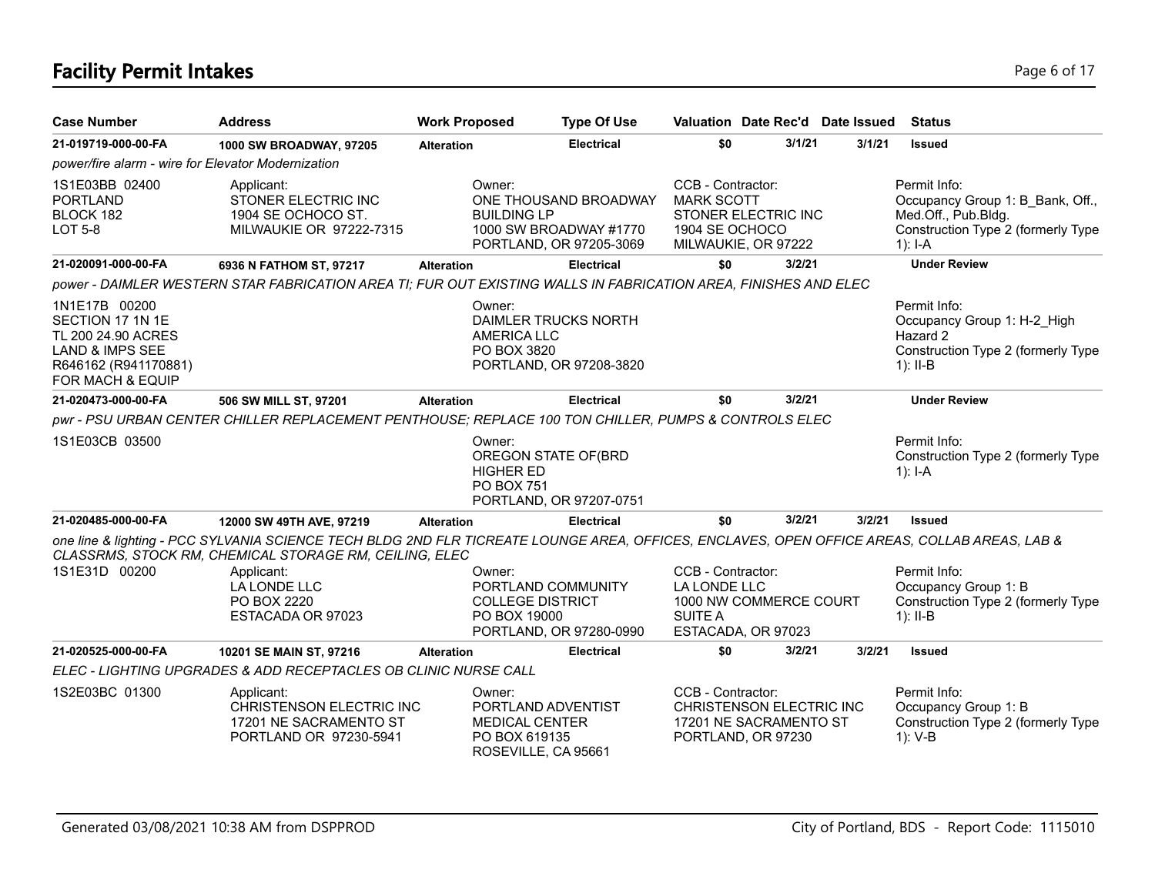# **Facility Permit Intakes** Page 6 of 17

| <b>Case Number</b>                                                                                                                | <b>Address</b>                                                                                                                                                                                         | <b>Work Proposed</b>                            | <b>Type Of Use</b>                                                         |                                                          |                                                                          | Valuation Date Rec'd Date Issued | <b>Status</b>                                                                                                              |
|-----------------------------------------------------------------------------------------------------------------------------------|--------------------------------------------------------------------------------------------------------------------------------------------------------------------------------------------------------|-------------------------------------------------|----------------------------------------------------------------------------|----------------------------------------------------------|--------------------------------------------------------------------------|----------------------------------|----------------------------------------------------------------------------------------------------------------------------|
| 21-019719-000-00-FA                                                                                                               | 1000 SW BROADWAY, 97205                                                                                                                                                                                | <b>Alteration</b>                               | Electrical                                                                 | \$0                                                      | 3/1/21                                                                   | 3/1/21                           | <b>Issued</b>                                                                                                              |
| power/fire alarm - wire for Elevator Modernization                                                                                |                                                                                                                                                                                                        |                                                 |                                                                            |                                                          |                                                                          |                                  |                                                                                                                            |
| 1S1E03BB 02400<br><b>PORTLAND</b><br>BLOCK 182<br><b>LOT 5-8</b>                                                                  | Applicant:<br>STONER ELECTRIC INC<br>1904 SE OCHOCO ST.<br>MILWAUKIE OR 97222-7315                                                                                                                     | Owner:<br><b>BUILDING LP</b>                    | ONE THOUSAND BROADWAY<br>1000 SW BROADWAY #1770<br>PORTLAND, OR 97205-3069 | CCB - Contractor:<br><b>MARK SCOTT</b><br>1904 SE OCHOCO | STONER ELECTRIC INC<br>MILWAUKIE, OR 97222                               |                                  | Permit Info:<br>Occupancy Group 1: B Bank, Off.,<br>Med.Off., Pub.Bldg.<br>Construction Type 2 (formerly Type<br>1): $I-A$ |
| 21-020091-000-00-FA                                                                                                               | 6936 N FATHOM ST, 97217                                                                                                                                                                                | <b>Alteration</b>                               | <b>Electrical</b>                                                          | \$0                                                      | 3/2/21                                                                   |                                  | <b>Under Review</b>                                                                                                        |
|                                                                                                                                   | power - DAIMLER WESTERN STAR FABRICATION AREA TI; FUR OUT EXISTING WALLS IN FABRICATION AREA, FINISHES AND ELEC                                                                                        |                                                 |                                                                            |                                                          |                                                                          |                                  |                                                                                                                            |
| 1N1E17B 00200<br>SECTION 17 1N 1E<br>TL 200 24.90 ACRES<br><b>LAND &amp; IMPS SEE</b><br>R646162 (R941170881)<br>FOR MACH & EQUIP |                                                                                                                                                                                                        | Owner:<br><b>AMERICA LLC</b><br>PO BOX 3820     | <b>DAIMLER TRUCKS NORTH</b><br>PORTLAND, OR 97208-3820                     |                                                          |                                                                          |                                  | Permit Info:<br>Occupancy Group 1: H-2 High<br>Hazard 2<br>Construction Type 2 (formerly Type<br>1): $II-B$                |
| 21-020473-000-00-FA                                                                                                               | 506 SW MILL ST, 97201                                                                                                                                                                                  | <b>Alteration</b>                               | <b>Electrical</b>                                                          | \$0                                                      | 3/2/21                                                                   |                                  | <b>Under Review</b>                                                                                                        |
|                                                                                                                                   | pwr - PSU URBAN CENTER CHILLER REPLACEMENT PENTHOUSE; REPLACE 100 TON CHILLER, PUMPS & CONTROLS ELEC                                                                                                   |                                                 |                                                                            |                                                          |                                                                          |                                  |                                                                                                                            |
| 1S1E03CB 03500                                                                                                                    |                                                                                                                                                                                                        | Owner:<br><b>HIGHER ED</b><br><b>PO BOX 751</b> | OREGON STATE OF(BRD<br>PORTLAND, OR 97207-0751                             |                                                          |                                                                          |                                  | Permit Info:<br>Construction Type 2 (formerly Type<br>1): $I - A$                                                          |
| 21-020485-000-00-FA                                                                                                               | 12000 SW 49TH AVE, 97219                                                                                                                                                                               | <b>Alteration</b>                               | <b>Electrical</b>                                                          | \$0                                                      | 3/2/21                                                                   | 3/2/21                           | <b>Issued</b>                                                                                                              |
|                                                                                                                                   | one line & lighting - PCC SYLVANIA SCIENCE TECH BLDG 2ND FLR TICREATE LOUNGE AREA, OFFICES, ENCLAVES, OPEN OFFICE AREAS, COLLAB AREAS, LAB &<br>CLASSRMS, STOCK RM, CHEMICAL STORAGE RM, CEILING, ELEC |                                                 |                                                                            |                                                          |                                                                          |                                  |                                                                                                                            |
| 1S1E31D 00200                                                                                                                     | Applicant:<br>LA LONDE LLC<br>PO BOX 2220<br>ESTACADA OR 97023                                                                                                                                         | Owner:<br>PO BOX 19000                          | PORTLAND COMMUNITY<br><b>COLLEGE DISTRICT</b><br>PORTLAND, OR 97280-0990   | CCB - Contractor:<br>LA LONDE LLC<br>SUITE A             | 1000 NW COMMERCE COURT<br>ESTACADA, OR 97023                             |                                  | Permit Info:<br>Occupancy Group 1: B<br>Construction Type 2 (formerly Type<br>$1$ : II-B                                   |
| 21-020525-000-00-FA                                                                                                               | 10201 SE MAIN ST, 97216                                                                                                                                                                                | <b>Alteration</b>                               | <b>Electrical</b>                                                          | \$0                                                      | 3/2/21                                                                   | 3/2/21                           | <b>Issued</b>                                                                                                              |
|                                                                                                                                   | ELEC - LIGHTING UPGRADES & ADD RECEPTACLES OB CLINIC NURSE CALL                                                                                                                                        |                                                 |                                                                            |                                                          |                                                                          |                                  |                                                                                                                            |
| 1S2E03BC 01300                                                                                                                    | Applicant:<br>CHRISTENSON ELECTRIC INC<br>17201 NE SACRAMENTO ST<br>PORTLAND OR 97230-5941                                                                                                             | Owner:<br>PO BOX 619135                         | PORTLAND ADVENTIST<br><b>MEDICAL CENTER</b><br>ROSEVILLE, CA 95661         | CCB - Contractor:                                        | CHRISTENSON ELECTRIC INC<br>17201 NE SACRAMENTO ST<br>PORTLAND, OR 97230 |                                  | Permit Info:<br>Occupancy Group 1: B<br>Construction Type 2 (formerly Type<br>1): V-B                                      |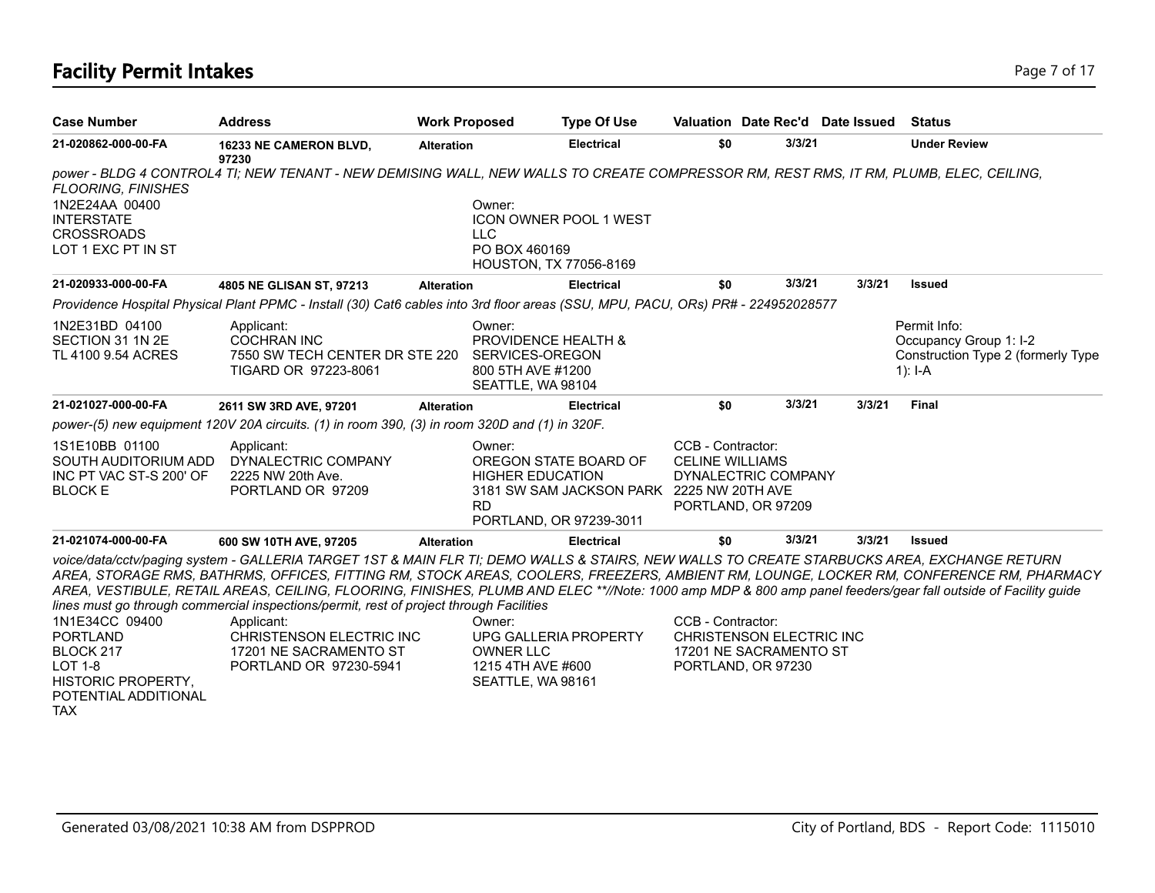# **Facility Permit Intakes** Page 7 of 17

| <b>Case Number</b>                                                                                                    | <b>Address</b>                                                                                                                                                                                                                                                                                                                                                                                                                                                                                        | <b>Work Proposed</b> | <b>Type Of Use</b>                                                                                                                              |                                             |                                                                          | Valuation Date Rec'd Date Issued | Status                                                                                                                                  |
|-----------------------------------------------------------------------------------------------------------------------|-------------------------------------------------------------------------------------------------------------------------------------------------------------------------------------------------------------------------------------------------------------------------------------------------------------------------------------------------------------------------------------------------------------------------------------------------------------------------------------------------------|----------------------|-------------------------------------------------------------------------------------------------------------------------------------------------|---------------------------------------------|--------------------------------------------------------------------------|----------------------------------|-----------------------------------------------------------------------------------------------------------------------------------------|
| 21-020862-000-00-FA                                                                                                   | 16233 NE CAMERON BLVD,<br>97230                                                                                                                                                                                                                                                                                                                                                                                                                                                                       | <b>Alteration</b>    | <b>Electrical</b>                                                                                                                               | \$0                                         | 3/3/21                                                                   |                                  | <b>Under Review</b>                                                                                                                     |
| <b>FLOORING, FINISHES</b><br>1N2E24AA 00400<br><b>INTERSTATE</b><br><b>CROSSROADS</b><br>LOT 1 EXC PT IN ST           | power - BLDG 4 CONTROL4 TI; NEW TENANT - NEW DEMISING WALL, NEW WALLS TO CREATE COMPRESSOR RM, REST RMS, IT RM, PLUMB, ELEC, CEILING,                                                                                                                                                                                                                                                                                                                                                                 |                      | Owner:<br><b>ICON OWNER POOL 1 WEST</b><br><b>LLC</b><br>PO BOX 460169                                                                          |                                             |                                                                          |                                  |                                                                                                                                         |
| 21-020933-000-00-FA                                                                                                   | 4805 NE GLISAN ST, 97213                                                                                                                                                                                                                                                                                                                                                                                                                                                                              | <b>Alteration</b>    | <b>HOUSTON, TX 77056-8169</b><br><b>Electrical</b>                                                                                              | \$0                                         | 3/3/21                                                                   | 3/3/21                           | <b>Issued</b>                                                                                                                           |
|                                                                                                                       | Providence Hospital Physical Plant PPMC - Install (30) Cat6 cables into 3rd floor areas (SSU, MPU, PACU, ORs) PR# - 224952028577                                                                                                                                                                                                                                                                                                                                                                      |                      |                                                                                                                                                 |                                             |                                                                          |                                  |                                                                                                                                         |
| 1N2E31BD 04100<br>SECTION 31 1N 2E<br>TL 4100 9.54 ACRES                                                              | Applicant:<br><b>COCHRAN INC</b><br>7550 SW TECH CENTER DR STE 220<br>TIGARD OR 97223-8061                                                                                                                                                                                                                                                                                                                                                                                                            |                      | Owner:<br>PROVIDENCE HEALTH &<br>SERVICES-OREGON<br>800 5TH AVE #1200<br>SEATTLE, WA 98104                                                      |                                             |                                                                          |                                  | Permit Info:<br>Occupancy Group 1: I-2<br>Construction Type 2 (formerly Type<br>1): $I - A$                                             |
| 21-021027-000-00-FA                                                                                                   | 2611 SW 3RD AVE, 97201                                                                                                                                                                                                                                                                                                                                                                                                                                                                                | <b>Alteration</b>    | <b>Electrical</b>                                                                                                                               | \$0                                         | 3/3/21                                                                   | 3/3/21                           | <b>Final</b>                                                                                                                            |
|                                                                                                                       | power-(5) new equipment 120V 20A circuits. (1) in room 390, (3) in room 320D and (1) in 320F.                                                                                                                                                                                                                                                                                                                                                                                                         |                      |                                                                                                                                                 |                                             |                                                                          |                                  |                                                                                                                                         |
| 1S1E10BB 01100<br>SOUTH AUDITORIUM ADD<br>INC PT VAC ST-S 200' OF<br><b>BLOCK E</b>                                   | Applicant:<br>DYNALECTRIC COMPANY<br>2225 NW 20th Ave.<br>PORTLAND OR 97209                                                                                                                                                                                                                                                                                                                                                                                                                           |                      | Owner:<br>OREGON STATE BOARD OF<br><b>HIGHER EDUCATION</b><br>3181 SW SAM JACKSON PARK 2225 NW 20TH AVE<br><b>RD</b><br>PORTLAND, OR 97239-3011 | CCB - Contractor:<br><b>CELINE WILLIAMS</b> | DYNALECTRIC COMPANY<br>PORTLAND, OR 97209                                |                                  |                                                                                                                                         |
| 21-021074-000-00-FA                                                                                                   | 600 SW 10TH AVE, 97205                                                                                                                                                                                                                                                                                                                                                                                                                                                                                | <b>Alteration</b>    | <b>Electrical</b>                                                                                                                               | \$0                                         | 3/3/21                                                                   | 3/3/21                           | <b>Issued</b>                                                                                                                           |
| 1N1E34CC 09400<br><b>PORTLAND</b><br>BLOCK 217<br>LOT 1-8<br>HISTORIC PROPERTY,<br>POTENTIAL ADDITIONAL<br><b>TAX</b> | voice/data/cctv/paging system - GALLERIA TARGET 1ST & MAIN FLR TI; DEMO WALLS & STAIRS, NEW WALLS TO CREATE STARBUCKS AREA, EXCHANGE RETURN<br>AREA, VESTIBULE, RETAIL AREAS, CEILING, FLOORING, FINISHES, PLUMB AND ELEC **//Note: 1000 amp MDP & 800 amp panel feeders/gear fall outside of Facility guide<br>lines must go through commercial inspections/permit, rest of project through Facilities<br>Applicant:<br>CHRISTENSON ELECTRIC INC<br>17201 NE SACRAMENTO ST<br>PORTLAND OR 97230-5941 |                      | Owner:<br>UPG GALLERIA PROPERTY<br><b>OWNER LLC</b><br>1215 4TH AVE #600<br>SEATTLE, WA 98161                                                   | CCB - Contractor:                           | CHRISTENSON ELECTRIC INC<br>17201 NE SACRAMENTO ST<br>PORTLAND, OR 97230 |                                  | AREA, STORAGE RMS, BATHRMS, OFFICES, FITTING RM, STOCK AREAS, COOLERS, FREEZERS, AMBIENT RM, LOUNGE, LOCKER RM, CONFERENCE RM, PHARMACY |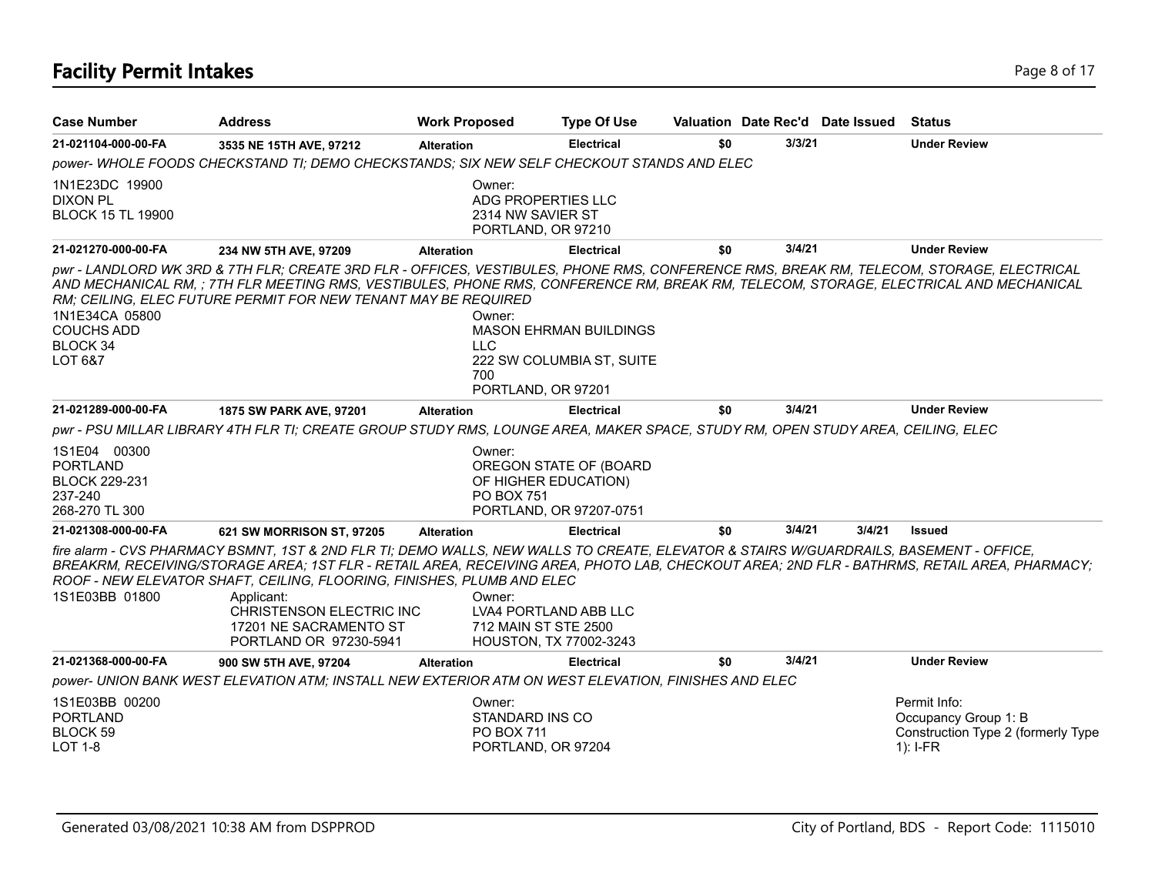# **Facility Permit Intakes** Page 8 of 17

| <b>Case Number</b>                                                                   | <b>Address</b>                                                                                                                                                                                                                                                                                                                                      | <b>Work Proposed</b>        | <b>Type Of Use</b>                                                               |     |        | Valuation Date Rec'd Date Issued | Status                                                                                                                                      |
|--------------------------------------------------------------------------------------|-----------------------------------------------------------------------------------------------------------------------------------------------------------------------------------------------------------------------------------------------------------------------------------------------------------------------------------------------------|-----------------------------|----------------------------------------------------------------------------------|-----|--------|----------------------------------|---------------------------------------------------------------------------------------------------------------------------------------------|
| 21-021104-000-00-FA                                                                  | 3535 NE 15TH AVE, 97212                                                                                                                                                                                                                                                                                                                             | <b>Alteration</b>           | <b>Electrical</b>                                                                | \$0 | 3/3/21 |                                  | <b>Under Review</b>                                                                                                                         |
|                                                                                      | power-WHOLE FOODS CHECKSTAND TI; DEMO CHECKSTANDS; SIX NEW SELF CHECKOUT STANDS AND ELEC                                                                                                                                                                                                                                                            |                             |                                                                                  |     |        |                                  |                                                                                                                                             |
| 1N1E23DC 19900<br><b>DIXON PL</b><br><b>BLOCK 15 TL 19900</b>                        |                                                                                                                                                                                                                                                                                                                                                     | Owner:                      | ADG PROPERTIES LLC<br>2314 NW SAVIER ST<br>PORTLAND, OR 97210                    |     |        |                                  |                                                                                                                                             |
| 21-021270-000-00-FA                                                                  | 234 NW 5TH AVE, 97209                                                                                                                                                                                                                                                                                                                               | <b>Alteration</b>           | <b>Electrical</b>                                                                | \$0 | 3/4/21 |                                  | <b>Under Review</b>                                                                                                                         |
| 1N1E34CA 05800<br><b>COUCHS ADD</b><br>BLOCK 34<br>LOT 6&7                           | pwr - LANDLORD WK 3RD & 7TH FLR; CREATE 3RD FLR - OFFICES, VESTIBULES, PHONE RMS, CONFERENCE RMS, BREAK RM, TELECOM, STORAGE, ELECTRICAL<br>AND MECHANICAL RM, ; 7TH FLR MEETING RMS, VESTIBULES, PHONE RMS, CONFERENCE RM, BREAK RM, TELECOM, STORAGE, ELECTRICAL AND MECHANICAL<br>RM; CEILING, ELEC FUTURE PERMIT FOR NEW TENANT MAY BE REQUIRED | Owner:<br><b>LLC</b><br>700 | <b>MASON EHRMAN BUILDINGS</b><br>222 SW COLUMBIA ST, SUITE<br>PORTLAND, OR 97201 |     |        |                                  |                                                                                                                                             |
| 21-021289-000-00-FA                                                                  | 1875 SW PARK AVE, 97201                                                                                                                                                                                                                                                                                                                             | <b>Alteration</b>           | <b>Electrical</b>                                                                | \$0 | 3/4/21 |                                  | <b>Under Review</b>                                                                                                                         |
|                                                                                      | pwr - PSU MILLAR LIBRARY 4TH FLR TI; CREATE GROUP STUDY RMS, LOUNGE AREA, MAKER SPACE, STUDY RM, OPEN STUDY AREA, CEILING, ELEC                                                                                                                                                                                                                     |                             |                                                                                  |     |        |                                  |                                                                                                                                             |
| 1S1E04 00300<br><b>PORTLAND</b><br><b>BLOCK 229-231</b><br>237-240<br>268-270 TL 300 |                                                                                                                                                                                                                                                                                                                                                     | Owner:<br><b>PO BOX 751</b> | OREGON STATE OF (BOARD<br>OF HIGHER EDUCATION)<br>PORTLAND, OR 97207-0751        |     |        |                                  |                                                                                                                                             |
| 21-021308-000-00-FA                                                                  | 621 SW MORRISON ST, 97205                                                                                                                                                                                                                                                                                                                           | <b>Alteration</b>           | <b>Electrical</b>                                                                | \$0 | 3/4/21 | 3/4/21                           | <b>Issued</b>                                                                                                                               |
| 1S1E03BB 01800                                                                       | fire alarm - CVS PHARMACY BSMNT, 1ST & 2ND FLR TI; DEMO WALLS, NEW WALLS TO CREATE, ELEVATOR & STAIRS W/GUARDRAILS, BASEMENT - OFFICE,<br>ROOF - NEW ELEVATOR SHAFT, CEILING, FLOORING, FINISHES, PLUMB AND ELEC<br>Applicant:<br><b>CHRISTENSON ELECTRIC INC</b><br>17201 NE SACRAMENTO ST<br>PORTLAND OR 97230-5941                               | Owner:                      | LVA4 PORTLAND ABB LLC<br>712 MAIN ST STE 2500<br>HOUSTON, TX 77002-3243          |     |        |                                  | BREAKRM, RECEIVING/STORAGE AREA; 1ST FLR - RETAIL AREA, RECEIVING AREA, PHOTO LAB, CHECKOUT AREA; 2ND FLR - BATHRMS, RETAIL AREA, PHARMACY; |
| 21-021368-000-00-FA                                                                  | 900 SW 5TH AVE, 97204                                                                                                                                                                                                                                                                                                                               | <b>Alteration</b>           | <b>Electrical</b>                                                                | \$0 | 3/4/21 |                                  | <b>Under Review</b>                                                                                                                         |
|                                                                                      | power- UNION BANK WEST ELEVATION ATM; INSTALL NEW EXTERIOR ATM ON WEST ELEVATION, FINISHES AND ELEC                                                                                                                                                                                                                                                 |                             |                                                                                  |     |        |                                  |                                                                                                                                             |
| 1S1E03BB 00200<br><b>PORTLAND</b><br><b>BLOCK 59</b><br><b>LOT 1-8</b>               |                                                                                                                                                                                                                                                                                                                                                     | Owner:<br><b>PO BOX 711</b> | STANDARD INS CO<br>PORTLAND, OR 97204                                            |     |        |                                  | Permit Info:<br>Occupancy Group 1: B<br>Construction Type 2 (formerly Type<br>$1$ : I-FR                                                    |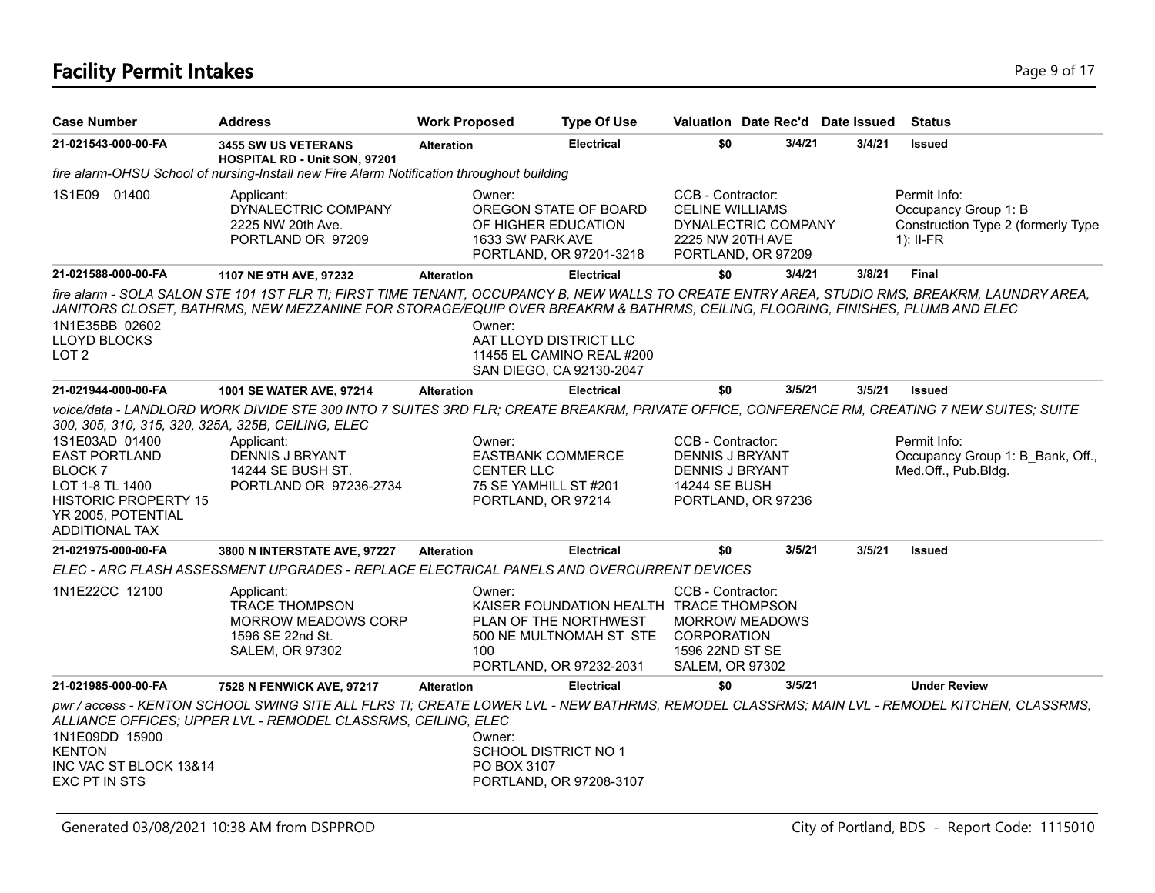# **Facility Permit Intakes** Page 9 of 17

| <b>Case Number</b>                                                                                                                                                                                           | <b>Address</b>                                                                                                                                                                                                                                                                  | <b>Work Proposed</b> | <b>Type Of Use</b>                                                                                                               |                                                                                 | Valuation Date Rec'd Date Issued          |        | Status                                                                                    |
|--------------------------------------------------------------------------------------------------------------------------------------------------------------------------------------------------------------|---------------------------------------------------------------------------------------------------------------------------------------------------------------------------------------------------------------------------------------------------------------------------------|----------------------|----------------------------------------------------------------------------------------------------------------------------------|---------------------------------------------------------------------------------|-------------------------------------------|--------|-------------------------------------------------------------------------------------------|
| 21-021543-000-00-FA                                                                                                                                                                                          | <b>3455 SW US VETERANS</b><br>HOSPITAL RD - Unit SON, 97201                                                                                                                                                                                                                     | <b>Alteration</b>    | <b>Electrical</b>                                                                                                                | \$0                                                                             | 3/4/21                                    | 3/4/21 | <b>Issued</b>                                                                             |
|                                                                                                                                                                                                              | fire alarm-OHSU School of nursing-Install new Fire Alarm Notification throughout building                                                                                                                                                                                       |                      |                                                                                                                                  |                                                                                 |                                           |        |                                                                                           |
| 1S1E09 01400                                                                                                                                                                                                 | Applicant:<br>DYNALECTRIC COMPANY<br>2225 NW 20th Ave.<br>PORTLAND OR 97209                                                                                                                                                                                                     |                      | Owner:<br>OREGON STATE OF BOARD<br>OF HIGHER EDUCATION<br>1633 SW PARK AVE<br>PORTLAND, OR 97201-3218                            | CCB - Contractor:<br><b>CELINE WILLIAMS</b><br>2225 NW 20TH AVE                 | DYNALECTRIC COMPANY<br>PORTLAND, OR 97209 |        | Permit Info:<br>Occupancy Group 1: B<br>Construction Type 2 (formerly Type<br>$1$ : II-FR |
| 21-021588-000-00-FA                                                                                                                                                                                          | 1107 NE 9TH AVE, 97232                                                                                                                                                                                                                                                          | <b>Alteration</b>    | <b>Electrical</b>                                                                                                                | \$0                                                                             | 3/4/21                                    | 3/8/21 | Final                                                                                     |
| 1N1E35BB 02602<br>LLOYD BLOCKS<br>LOT <sub>2</sub>                                                                                                                                                           | fire alarm - SOLA SALON STE 101 1ST FLR TI; FIRST TIME TENANT, OCCUPANCY B, NEW WALLS TO CREATE ENTRY AREA, STUDIO RMS, BREAKRM, LAUNDRY AREA,<br>JANITORS CLOSET, BATHRMS, NEW MEZZANINE FOR STORAGE/EQUIP OVER BREAKRM & BATHRMS, CEILING, FLOORING, FINISHES, PLUMB AND ELEC |                      | Owner:<br>AAT LLOYD DISTRICT LLC<br>11455 EL CAMINO REAL #200<br>SAN DIEGO, CA 92130-2047                                        |                                                                                 |                                           |        |                                                                                           |
| 21-021944-000-00-FA                                                                                                                                                                                          | <b>1001 SE WATER AVE, 97214</b>                                                                                                                                                                                                                                                 | <b>Alteration</b>    | <b>Electrical</b>                                                                                                                | \$0                                                                             | 3/5/21                                    | 3/5/21 | <b>Issued</b>                                                                             |
| 300, 305, 310, 315, 320, 325A, 325B, CEILING, ELEC<br>1S1E03AD 01400<br><b>EAST PORTLAND</b><br>BLOCK <sub>7</sub><br>LOT 1-8 TL 1400<br><b>HISTORIC PROPERTY 15</b><br>YR 2005, POTENTIAL<br>ADDITIONAL TAX | voice/data - LANDLORD WORK DIVIDE STE 300 INTO 7 SUITES 3RD FLR; CREATE BREAKRM, PRIVATE OFFICE, CONFERENCE RM, CREATING 7 NEW SUITES; SUITE<br>Applicant:<br><b>DENNIS J BRYANT</b><br>14244 SE BUSH ST.<br>PORTLAND OR 97236-2734                                             |                      | Owner:<br><b>EASTBANK COMMERCE</b><br><b>CENTER LLC</b><br>75 SE YAMHILL ST #201<br>PORTLAND, OR 97214                           | CCB - Contractor:<br>DENNIS J BRYANT<br>DENNIS J BRYANT<br><b>14244 SE BUSH</b> | PORTLAND, OR 97236                        |        | Permit Info:<br>Occupancy Group 1: B_Bank, Off.,<br>Med.Off., Pub.Bldg.                   |
| 21-021975-000-00-FA                                                                                                                                                                                          | 3800 N INTERSTATE AVE, 97227                                                                                                                                                                                                                                                    | <b>Alteration</b>    | <b>Electrical</b>                                                                                                                | \$0                                                                             | 3/5/21                                    | 3/5/21 | <b>Issued</b>                                                                             |
|                                                                                                                                                                                                              | ELEC - ARC FLASH ASSESSMENT UPGRADES - REPLACE ELECTRICAL PANELS AND OVERCURRENT DEVICES                                                                                                                                                                                        |                      |                                                                                                                                  |                                                                                 |                                           |        |                                                                                           |
| 1N1E22CC 12100                                                                                                                                                                                               | Applicant:<br><b>TRACE THOMPSON</b><br><b>MORROW MEADOWS CORP</b><br>1596 SE 22nd St.<br><b>SALEM, OR 97302</b>                                                                                                                                                                 | 100                  | Owner:<br>KAISER FOUNDATION HEALTH TRACE THOMPSON<br>PLAN OF THE NORTHWEST<br>500 NE MULTNOMAH ST STE<br>PORTLAND, OR 97232-2031 | CCB - Contractor:<br>CORPORATION<br>1596 22ND ST SE<br><b>SALEM, OR 97302</b>   | <b>MORROW MEADOWS</b>                     |        |                                                                                           |
| 21-021985-000-00-FA                                                                                                                                                                                          | 7528 N FENWICK AVE, 97217                                                                                                                                                                                                                                                       | <b>Alteration</b>    | <b>Electrical</b>                                                                                                                | \$0                                                                             | 3/5/21                                    |        | <b>Under Review</b>                                                                       |
| 1N1E09DD 15900<br><b>KENTON</b><br>INC VAC ST BLOCK 13&14<br>EXC PT IN STS                                                                                                                                   | pwr / access - KENTON SCHOOL SWING SITE ALL FLRS TI; CREATE LOWER LVL - NEW BATHRMS, REMODEL CLASSRMS; MAIN LVL - REMODEL KITCHEN, CLASSRMS,<br>ALLIANCE OFFICES; UPPER LVL - REMODEL CLASSRMS, CEILING, ELEC                                                                   |                      | Owner:<br><b>SCHOOL DISTRICT NO 1</b><br>PO BOX 3107<br>PORTLAND, OR 97208-3107                                                  |                                                                                 |                                           |        |                                                                                           |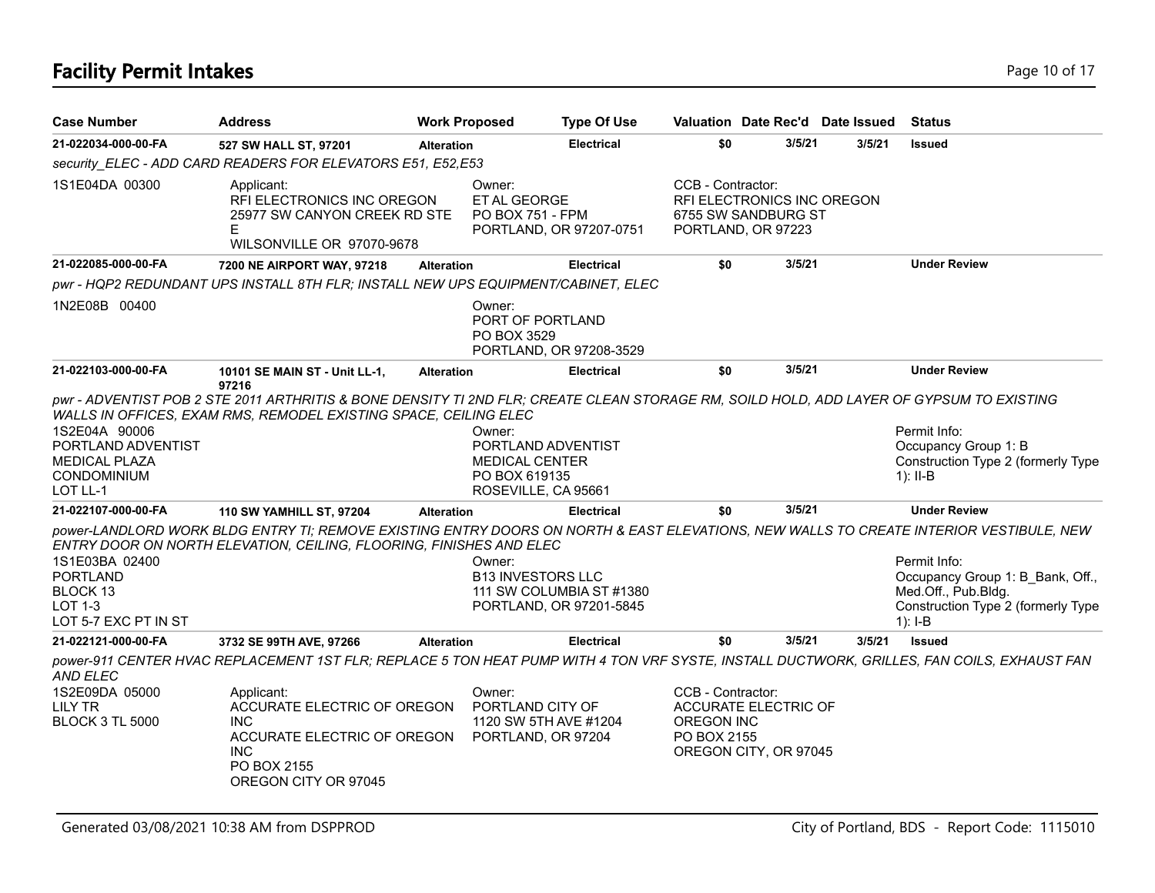| <b>Case Number</b>                                                                     | <b>Address</b>                                                                                                                                                                                                | <b>Work Proposed</b> | <b>Type Of Use</b>                                                                            |                   | Valuation Date Rec'd Date Issued Status                                 |        |                                                                                                                            |
|----------------------------------------------------------------------------------------|---------------------------------------------------------------------------------------------------------------------------------------------------------------------------------------------------------------|----------------------|-----------------------------------------------------------------------------------------------|-------------------|-------------------------------------------------------------------------|--------|----------------------------------------------------------------------------------------------------------------------------|
| 21-022034-000-00-FA                                                                    | 527 SW HALL ST, 97201                                                                                                                                                                                         | <b>Alteration</b>    | <b>Electrical</b>                                                                             | \$0               | 3/5/21                                                                  | 3/5/21 | <b>Issued</b>                                                                                                              |
|                                                                                        | security ELEC - ADD CARD READERS FOR ELEVATORS E51, E52,E53                                                                                                                                                   |                      |                                                                                               |                   |                                                                         |        |                                                                                                                            |
| 1S1E04DA 00300                                                                         | Applicant:<br>RFI ELECTRONICS INC OREGON<br>25977 SW CANYON CREEK RD STE<br>WILSONVILLE OR 97070-9678                                                                                                         |                      | Owner:<br>ET AL GEORGE<br>PO BOX 751 - FPM<br>PORTLAND, OR 97207-0751                         | CCB - Contractor: | RFI ELECTRONICS INC OREGON<br>6755 SW SANDBURG ST<br>PORTLAND, OR 97223 |        |                                                                                                                            |
| 21-022085-000-00-FA                                                                    | 7200 NE AIRPORT WAY, 97218                                                                                                                                                                                    | <b>Alteration</b>    | <b>Electrical</b>                                                                             | \$0               | 3/5/21                                                                  |        | <b>Under Review</b>                                                                                                        |
|                                                                                        | pwr - HQP2 REDUNDANT UPS INSTALL 8TH FLR; INSTALL NEW UPS EQUIPMENT/CABINET, ELEC                                                                                                                             |                      |                                                                                               |                   |                                                                         |        |                                                                                                                            |
| 1N2E08B 00400                                                                          |                                                                                                                                                                                                               |                      | Owner:<br>PORT OF PORTLAND<br>PO BOX 3529<br>PORTLAND, OR 97208-3529                          |                   |                                                                         |        |                                                                                                                            |
| 21-022103-000-00-FA                                                                    | 10101 SE MAIN ST - Unit LL-1,                                                                                                                                                                                 | <b>Alteration</b>    | <b>Electrical</b>                                                                             | \$0               | 3/5/21                                                                  |        | <b>Under Review</b>                                                                                                        |
| 1S2E04A 90006<br>PORTLAND ADVENTIST<br>MEDICAL PLAZA<br><b>CONDOMINIUM</b><br>LOT LL-1 | pwr - ADVENTIST POB 2 STE 2011 ARTHRITIS & BONE DENSITY TI 2ND FLR; CREATE CLEAN STORAGE RM, SOILD HOLD, ADD LAYER OF GYPSUM TO EXISTING<br>WALLS IN OFFICES, EXAM RMS, REMODEL EXISTING SPACE, CEILING ELEC  |                      | Owner:<br>PORTLAND ADVENTIST<br><b>MEDICAL CENTER</b><br>PO BOX 619135<br>ROSEVILLE, CA 95661 |                   |                                                                         |        | Permit Info:<br>Occupancy Group 1: B<br>Construction Type 2 (formerly Type<br>$1$ : II-B                                   |
| 21-022107-000-00-FA                                                                    | <b>110 SW YAMHILL ST, 97204</b>                                                                                                                                                                               | <b>Alteration</b>    | <b>Electrical</b>                                                                             | \$0               | 3/5/21                                                                  |        | <b>Under Review</b>                                                                                                        |
| 1S1E03BA 02400<br><b>PORTLAND</b><br>BLOCK 13<br>LOT 1-3<br>LOT 5-7 EXC PT IN ST       | power-LANDLORD WORK BLDG ENTRY TI; REMOVE EXISTING ENTRY DOORS ON NORTH & EAST ELEVATIONS, NEW WALLS TO CREATE INTERIOR VESTIBULE, NEW<br>ENTRY DOOR ON NORTH ELEVATION, CEILING, FLOORING, FINISHES AND ELEC |                      | Owner:<br><b>B13 INVESTORS LLC</b><br>111 SW COLUMBIA ST #1380<br>PORTLAND, OR 97201-5845     |                   |                                                                         |        | Permit Info:<br>Occupancy Group 1: B Bank, Off.,<br>Med.Off., Pub.Bldg.<br>Construction Type 2 (formerly Type<br>$1$ : I-B |
| 21-022121-000-00-FA                                                                    | 3732 SE 99TH AVE, 97266                                                                                                                                                                                       | <b>Alteration</b>    | <b>Electrical</b>                                                                             | \$0               | 3/5/21                                                                  | 3/5/21 | <b>Issued</b>                                                                                                              |
| AND ELEC<br>1S2E09DA 05000                                                             | power-911 CENTER HVAC REPLACEMENT 1ST FLR; REPLACE 5 TON HEAT PUMP WITH 4 TON VRF SYSTE, INSTALL DUCTWORK, GRILLES, FAN COILS, EXHAUST FAN<br>Applicant:                                                      |                      | Owner:                                                                                        | CCB - Contractor: |                                                                         |        |                                                                                                                            |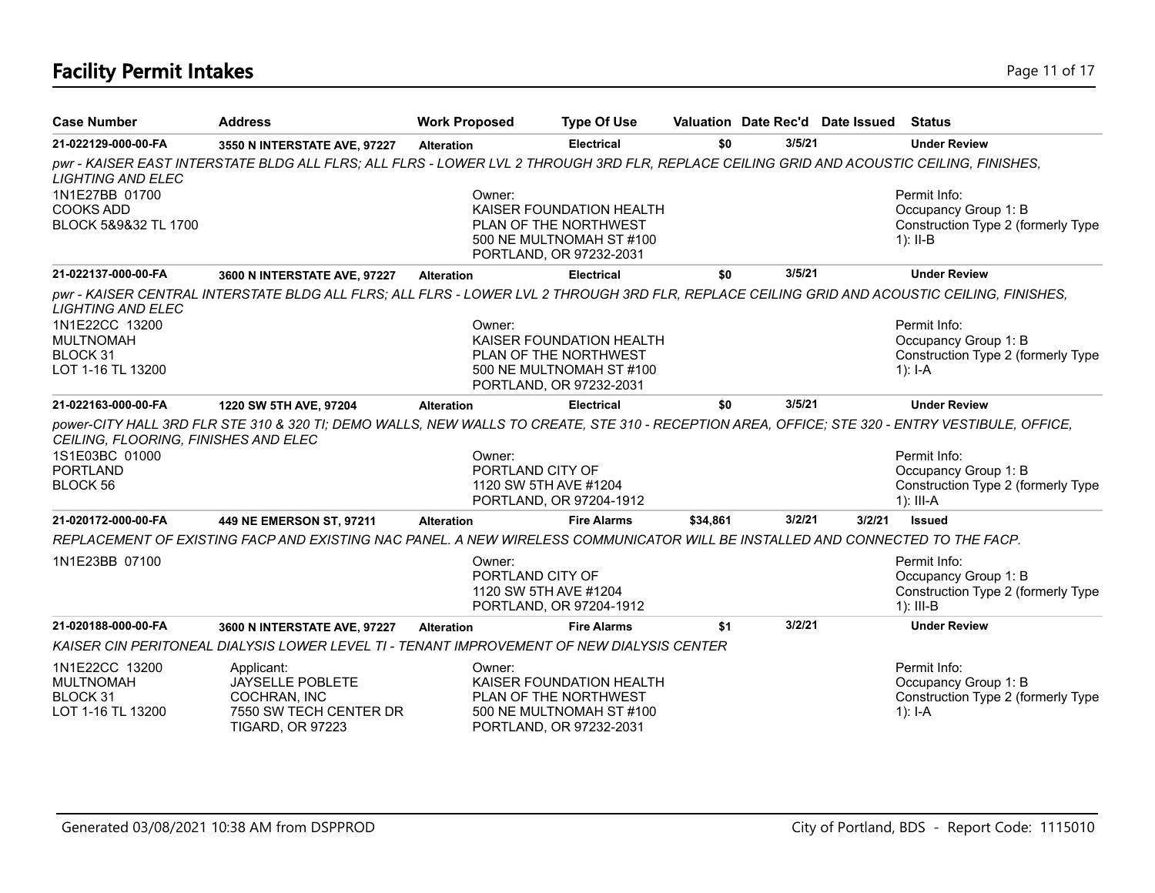# **Facility Permit Intakes** Page 11 of 17

| <b>Case Number</b>                                                  | <b>Address</b>                                                                                                                                  | <b>Work Proposed</b>       | <b>Type Of Use</b>                                                                                       |          |        | Valuation Date Rec'd Date Issued | Status                                                                                    |
|---------------------------------------------------------------------|-------------------------------------------------------------------------------------------------------------------------------------------------|----------------------------|----------------------------------------------------------------------------------------------------------|----------|--------|----------------------------------|-------------------------------------------------------------------------------------------|
| 21-022129-000-00-FA                                                 | 3550 N INTERSTATE AVE, 97227                                                                                                                    | <b>Alteration</b>          | <b>Electrical</b>                                                                                        | \$0      | 3/5/21 |                                  | <b>Under Review</b>                                                                       |
| <b>LIGHTING AND ELEC</b>                                            | pwr - KAISER EAST INTERSTATE BLDG ALL FLRS; ALL FLRS - LOWER LVL 2 THROUGH 3RD FLR, REPLACE CEILING GRID AND ACOUSTIC CEILING, FINISHES,        |                            |                                                                                                          |          |        |                                  |                                                                                           |
| 1N1E27BB 01700<br><b>COOKS ADD</b><br>BLOCK 5&9&32 TL 1700          |                                                                                                                                                 | Owner:                     | KAISER FOUNDATION HEALTH<br>PLAN OF THE NORTHWEST<br>500 NE MULTNOMAH ST #100<br>PORTLAND, OR 97232-2031 |          |        |                                  | Permit Info:<br>Occupancy Group 1: B<br>Construction Type 2 (formerly Type<br>$1$ : II-B  |
| 21-022137-000-00-FA                                                 | 3600 N INTERSTATE AVE, 97227                                                                                                                    | <b>Alteration</b>          | <b>Electrical</b>                                                                                        | \$0      | 3/5/21 |                                  | <b>Under Review</b>                                                                       |
| <b>LIGHTING AND ELEC</b>                                            | pwr - KAISER CENTRAL INTERSTATE BLDG ALL FLRS; ALL FLRS - LOWER LVL 2 THROUGH 3RD FLR, REPLACE CEILING GRID AND ACOUSTIC CEILING, FINISHES,     |                            |                                                                                                          |          |        |                                  |                                                                                           |
| 1N1E22CC 13200<br><b>MULTNOMAH</b><br>BLOCK 31<br>LOT 1-16 TL 13200 |                                                                                                                                                 | Owner:                     | KAISER FOUNDATION HEALTH<br>PLAN OF THE NORTHWEST<br>500 NE MULTNOMAH ST #100<br>PORTLAND, OR 97232-2031 |          |        |                                  | Permit Info:<br>Occupancy Group 1: B<br>Construction Type 2 (formerly Type<br>1): $I-A$   |
| 21-022163-000-00-FA                                                 | 1220 SW 5TH AVE, 97204                                                                                                                          | <b>Alteration</b>          | <b>Electrical</b>                                                                                        | \$0      | 3/5/21 |                                  | <b>Under Review</b>                                                                       |
| CEILING, FLOORING, FINISHES AND ELEC                                | power-CITY HALL 3RD FLR STE 310 & 320 TI; DEMO WALLS, NEW WALLS TO CREATE, STE 310 - RECEPTION AREA, OFFICE; STE 320 - ENTRY VESTIBULE, OFFICE, |                            |                                                                                                          |          |        |                                  |                                                                                           |
| 1S1E03BC 01000<br><b>PORTLAND</b>                                   |                                                                                                                                                 | Owner:                     |                                                                                                          |          |        |                                  | Permit Info:                                                                              |
| BLOCK 56                                                            |                                                                                                                                                 | PORTLAND CITY OF           | 1120 SW 5TH AVE #1204<br>PORTLAND, OR 97204-1912                                                         |          |        |                                  | Occupancy Group 1: B<br>Construction Type 2 (formerly Type<br>$1$ : III-A                 |
| 21-020172-000-00-FA                                                 | 449 NE EMERSON ST, 97211                                                                                                                        | <b>Alteration</b>          | <b>Fire Alarms</b>                                                                                       | \$34,861 | 3/2/21 | 3/2/21                           | <b>Issued</b>                                                                             |
|                                                                     | REPLACEMENT OF EXISTING FACP AND EXISTING NAC PANEL. A NEW WIRELESS COMMUNICATOR WILL BE INSTALLED AND CONNECTED TO THE FACP.                   |                            |                                                                                                          |          |        |                                  |                                                                                           |
| 1N1E23BB 07100                                                      |                                                                                                                                                 | Owner:<br>PORTLAND CITY OF | 1120 SW 5TH AVE #1204<br>PORTLAND, OR 97204-1912                                                         |          |        |                                  | Permit Info:<br>Occupancy Group 1: B<br>Construction Type 2 (formerly Type<br>$1$ : III-B |
| 21-020188-000-00-FA                                                 | 3600 N INTERSTATE AVE, 97227                                                                                                                    | <b>Alteration</b>          | <b>Fire Alarms</b>                                                                                       | \$1      | 3/2/21 |                                  | <b>Under Review</b>                                                                       |
|                                                                     | KAISER CIN PERITONEAL DIALYSIS LOWER LEVEL TI - TENANT IMPROVEMENT OF NEW DIALYSIS CENTER                                                       |                            |                                                                                                          |          |        |                                  |                                                                                           |
| 1N1E22CC 13200<br><b>MULTNOMAH</b><br>BLOCK 31<br>LOT 1-16 TL 13200 | Applicant:<br>JAYSELLE POBLETE<br>COCHRAN, INC<br>7550 SW TECH CENTER DR<br><b>TIGARD, OR 97223</b>                                             | Owner:                     | KAISER FOUNDATION HEALTH<br>PLAN OF THE NORTHWEST<br>500 NE MULTNOMAH ST #100<br>PORTLAND, OR 97232-2031 |          |        |                                  | Permit Info:<br>Occupancy Group 1: B<br>Construction Type 2 (formerly Type<br>1): $I - A$ |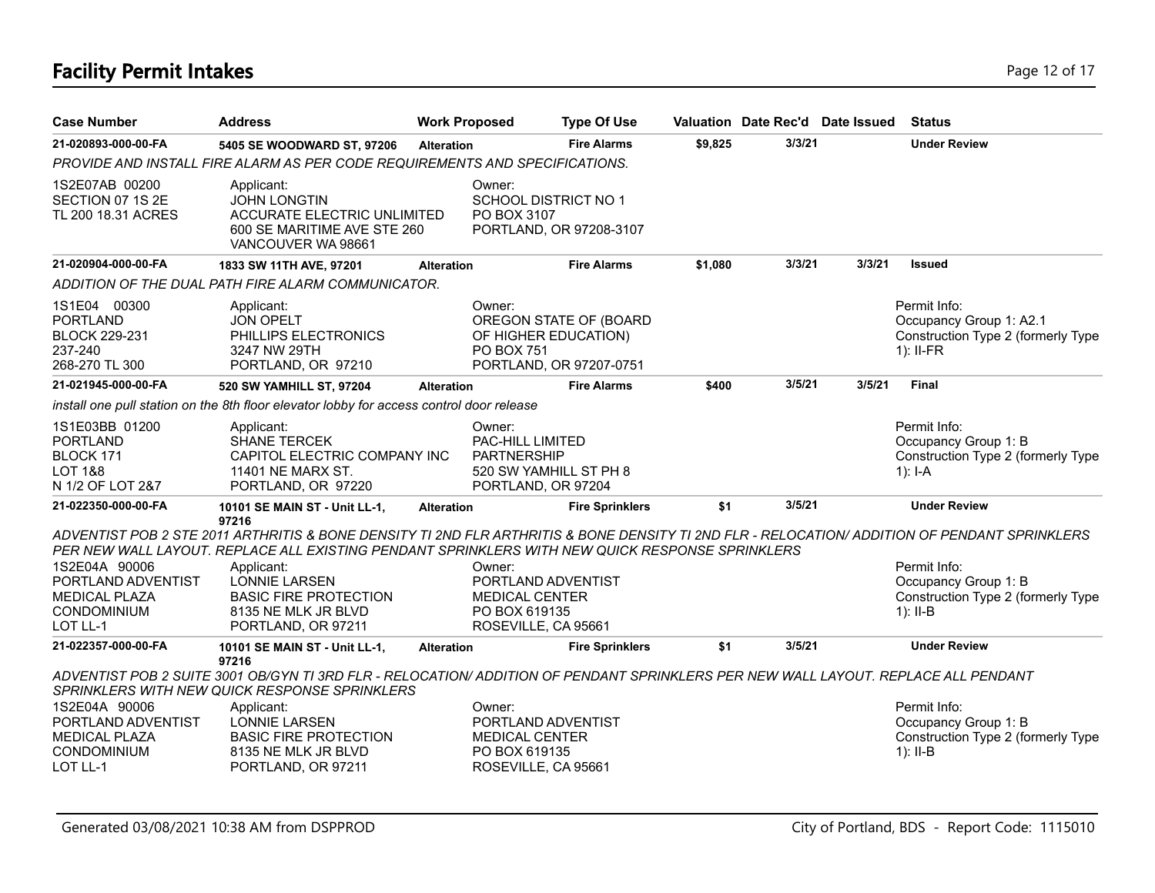# **Facility Permit Intakes** Page 12 of 17

| <b>Case Number</b>                                                                              | <b>Address</b>                                                                                                                                                                                                                                                                                                                                         | <b>Work Proposed</b> |                                                                                                  | <b>Type Of Use</b>                                |         | Valuation Date Rec'd Date Issued |        | <b>Status</b>                                                                                |
|-------------------------------------------------------------------------------------------------|--------------------------------------------------------------------------------------------------------------------------------------------------------------------------------------------------------------------------------------------------------------------------------------------------------------------------------------------------------|----------------------|--------------------------------------------------------------------------------------------------|---------------------------------------------------|---------|----------------------------------|--------|----------------------------------------------------------------------------------------------|
| 21-020893-000-00-FA                                                                             | 5405 SE WOODWARD ST, 97206                                                                                                                                                                                                                                                                                                                             | <b>Alteration</b>    |                                                                                                  | <b>Fire Alarms</b>                                | \$9,825 | 3/3/21                           |        | <b>Under Review</b>                                                                          |
|                                                                                                 | PROVIDE AND INSTALL FIRE ALARM AS PER CODE REQUIREMENTS AND SPECIFICATIONS.                                                                                                                                                                                                                                                                            |                      |                                                                                                  |                                                   |         |                                  |        |                                                                                              |
| 1S2E07AB 00200<br>SECTION 07 1S 2E<br>TL 200 18.31 ACRES                                        | Applicant:<br><b>JOHN LONGTIN</b><br>ACCURATE ELECTRIC UNLIMITED<br>600 SE MARITIME AVE STE 260<br>VANCOUVER WA 98661                                                                                                                                                                                                                                  |                      | Owner:<br><b>SCHOOL DISTRICT NO 1</b><br>PO BOX 3107                                             | PORTLAND, OR 97208-3107                           |         |                                  |        |                                                                                              |
| 21-020904-000-00-FA                                                                             | 1833 SW 11TH AVE, 97201                                                                                                                                                                                                                                                                                                                                | <b>Alteration</b>    |                                                                                                  | <b>Fire Alarms</b>                                | \$1,080 | 3/3/21                           | 3/3/21 | <b>Issued</b>                                                                                |
|                                                                                                 | ADDITION OF THE DUAL PATH FIRE ALARM COMMUNICATOR.                                                                                                                                                                                                                                                                                                     |                      |                                                                                                  |                                                   |         |                                  |        |                                                                                              |
| 1S1E04 00300<br><b>PORTLAND</b><br><b>BLOCK 229-231</b><br>237-240<br>268-270 TL 300            | Applicant:<br><b>JON OPELT</b><br>PHILLIPS ELECTRONICS<br>3247 NW 29TH<br>PORTLAND, OR 97210                                                                                                                                                                                                                                                           |                      | Owner:<br>OF HIGHER EDUCATION)<br>PO BOX 751                                                     | OREGON STATE OF (BOARD<br>PORTLAND, OR 97207-0751 |         |                                  |        | Permit Info:<br>Occupancy Group 1: A2.1<br>Construction Type 2 (formerly Type<br>$1$ : II-FR |
| 21-021945-000-00-FA                                                                             | 520 SW YAMHILL ST, 97204                                                                                                                                                                                                                                                                                                                               | <b>Alteration</b>    |                                                                                                  | <b>Fire Alarms</b>                                | \$400   | 3/5/21                           | 3/5/21 | <b>Final</b>                                                                                 |
|                                                                                                 | install one pull station on the 8th floor elevator lobby for access control door release                                                                                                                                                                                                                                                               |                      |                                                                                                  |                                                   |         |                                  |        |                                                                                              |
| 1S1E03BB 01200<br><b>PORTLAND</b><br><b>BLOCK 171</b><br><b>LOT 1&amp;8</b><br>N 1/2 OF LOT 2&7 | Applicant:<br><b>SHANE TERCEK</b><br>CAPITOL ELECTRIC COMPANY INC<br>11401 NE MARX ST.<br>PORTLAND, OR 97220                                                                                                                                                                                                                                           |                      | Owner:<br>PAC-HILL LIMITED<br><b>PARTNERSHIP</b><br>520 SW YAMHILL ST PH 8<br>PORTLAND, OR 97204 |                                                   |         |                                  |        | Permit Info:<br>Occupancy Group 1: B<br>Construction Type 2 (formerly Type<br>$1$ : I-A      |
| 21-022350-000-00-FA                                                                             | 10101 SE MAIN ST - Unit LL-1,                                                                                                                                                                                                                                                                                                                          | <b>Alteration</b>    |                                                                                                  | <b>Fire Sprinklers</b>                            | \$1     | 3/5/21                           |        | <b>Under Review</b>                                                                          |
| 1S2E04A 90006<br>PORTLAND ADVENTIST<br><b>MEDICAL PLAZA</b><br><b>CONDOMINIUM</b>               | 97216<br>ADVENTIST POB 2 STE 2011 ARTHRITIS & BONE DENSITY TI 2ND FLR ARTHRITIS & BONE DENSITY TI 2ND FLR - RELOCATION/ ADDITION OF PENDANT SPRINKLERS<br>PER NEW WALL LAYOUT. REPLACE ALL EXISTING PENDANT SPRINKLERS WITH NEW QUICK RESPONSE SPRINKLERS<br>Applicant:<br><b>LONNIE LARSEN</b><br><b>BASIC FIRE PROTECTION</b><br>8135 NE MLK JR BLVD |                      | Owner:<br>PORTLAND ADVENTIST<br>MEDICAL CENTER<br>PO BOX 619135                                  |                                                   |         |                                  |        | Permit Info:<br>Occupancy Group 1: B<br>Construction Type 2 (formerly Type<br>$1$ : II-B     |
| LOT LL-1<br>21-022357-000-00-FA                                                                 | PORTLAND, OR 97211                                                                                                                                                                                                                                                                                                                                     |                      | ROSEVILLE, CA 95661                                                                              |                                                   |         | 3/5/21                           |        | <b>Under Review</b>                                                                          |
|                                                                                                 | 10101 SE MAIN ST - Unit LL-1,<br>97216                                                                                                                                                                                                                                                                                                                 | <b>Alteration</b>    |                                                                                                  | <b>Fire Sprinklers</b>                            | \$1     |                                  |        |                                                                                              |
| 1S2E04A 90006<br>PORTLAND ADVENTIST<br><b>MEDICAL PLAZA</b><br><b>CONDOMINIUM</b><br>LOT LL-1   | ADVENTIST POB 2 SUITE 3001 OB/GYN TI 3RD FLR - RELOCATION/ ADDITION OF PENDANT SPRINKLERS PER NEW WALL LAYOUT. REPLACE ALL PENDANT<br>SPRINKLERS WITH NEW QUICK RESPONSE SPRINKLERS<br>Applicant:<br><b>LONNIE LARSEN</b><br><b>BASIC FIRE PROTECTION</b><br>8135 NE MLK JR BLVD<br>PORTLAND, OR 97211                                                 |                      | Owner:<br>PORTLAND ADVENTIST<br><b>MEDICAL CENTER</b><br>PO BOX 619135<br>ROSEVILLE, CA 95661    |                                                   |         |                                  |        | Permit Info:<br>Occupancy Group 1: B<br>Construction Type 2 (formerly Type<br>$1$ : II-B     |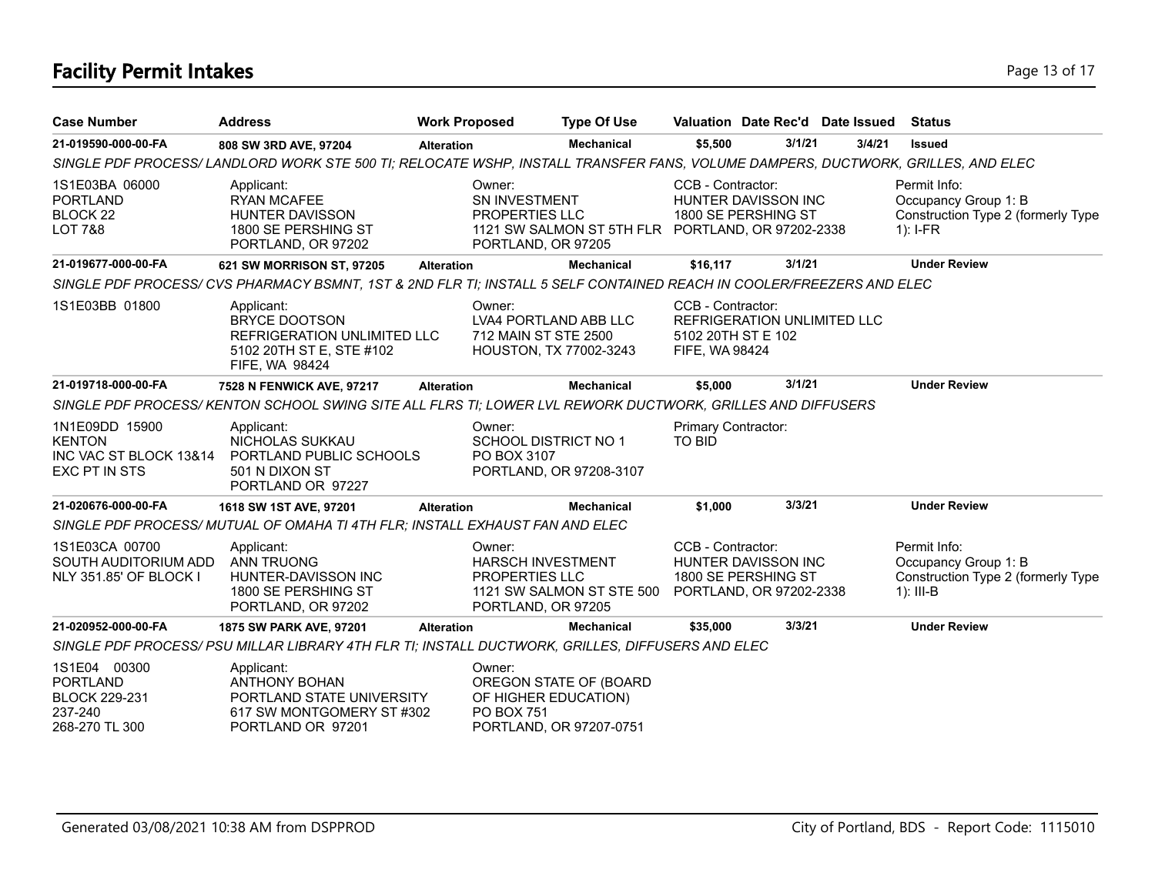### **Facility Permit Intakes** Page 13 of 17

| <b>Case Number</b>                                                                   | <b>Address</b>                                                                                                                 | <b>Work Proposed</b> |                                                                                   | <b>Type Of Use</b>                                | Valuation Date Rec'd Date Issued                                                                |        |        | Status                                                                                    |
|--------------------------------------------------------------------------------------|--------------------------------------------------------------------------------------------------------------------------------|----------------------|-----------------------------------------------------------------------------------|---------------------------------------------------|-------------------------------------------------------------------------------------------------|--------|--------|-------------------------------------------------------------------------------------------|
| 21-019590-000-00-FA                                                                  | 808 SW 3RD AVE, 97204                                                                                                          | <b>Alteration</b>    |                                                                                   | Mechanical                                        | \$5,500                                                                                         | 3/1/21 | 3/4/21 | <b>Issued</b>                                                                             |
|                                                                                      | SINGLE PDF PROCESS/LANDLORD WORK STE 500 TI; RELOCATE WSHP, INSTALL TRANSFER FANS, VOLUME DAMPERS, DUCTWORK, GRILLES, AND ELEC |                      |                                                                                   |                                                   |                                                                                                 |        |        |                                                                                           |
| 1S1E03BA 06000<br><b>PORTLAND</b><br>BLOCK <sub>22</sub><br><b>LOT 7&amp;8</b>       | Applicant:<br><b>RYAN MCAFEE</b><br><b>HUNTER DAVISSON</b><br>1800 SE PERSHING ST<br>PORTLAND, OR 97202                        |                      | Owner:<br>SN INVESTMENT<br>PROPERTIES LLC<br>PORTLAND, OR 97205                   | 1121 SW SALMON ST 5TH FLR PORTLAND, OR 97202-2338 | CCB - Contractor:<br>HUNTER DAVISSON INC<br>1800 SE PERSHING ST                                 |        |        | Permit Info:<br>Occupancy Group 1: B<br>Construction Type 2 (formerly Type<br>$1$ : I-FR  |
| 21-019677-000-00-FA                                                                  | 621 SW MORRISON ST, 97205                                                                                                      | <b>Alteration</b>    |                                                                                   | <b>Mechanical</b>                                 | \$16,117                                                                                        | 3/1/21 |        | <b>Under Review</b>                                                                       |
|                                                                                      | SINGLE PDF PROCESS/ CVS PHARMACY BSMNT, 1ST & 2ND FLR TI; INSTALL 5 SELF CONTAINED REACH IN COOLER/FREEZERS AND ELEC           |                      |                                                                                   |                                                   |                                                                                                 |        |        |                                                                                           |
| 1S1E03BB 01800                                                                       | Applicant:<br><b>BRYCE DOOTSON</b><br>REFRIGERATION UNLIMITED LLC<br>5102 20TH ST E. STE #102<br>FIFE, WA 98424                |                      | Owner:<br>LVA4 PORTLAND ABB LLC<br>712 MAIN ST STE 2500<br>HOUSTON, TX 77002-3243 |                                                   | CCB - Contractor:<br><b>REFRIGERATION UNLIMITED LLC</b><br>5102 20TH ST E 102<br>FIFE, WA 98424 |        |        |                                                                                           |
| 21-019718-000-00-FA                                                                  | 7528 N FENWICK AVE, 97217                                                                                                      | <b>Alteration</b>    |                                                                                   | <b>Mechanical</b>                                 | \$5,000                                                                                         | 3/1/21 |        | <b>Under Review</b>                                                                       |
|                                                                                      | SINGLE PDF PROCESS/KENTON SCHOOL SWING SITE ALL FLRS TI; LOWER LVL REWORK DUCTWORK, GRILLES AND DIFFUSERS                      |                      |                                                                                   |                                                   |                                                                                                 |        |        |                                                                                           |
| 1N1E09DD 15900<br><b>KENTON</b><br>INC VAC ST BLOCK 13&14<br>EXC PT IN STS           | Applicant:<br>NICHOLAS SUKKAU<br>PORTLAND PUBLIC SCHOOLS<br>501 N DIXON ST<br>PORTLAND OR 97227                                |                      | Owner:<br><b>SCHOOL DISTRICT NO 1</b><br>PO BOX 3107                              | PORTLAND, OR 97208-3107                           | Primary Contractor:<br>TO BID                                                                   |        |        |                                                                                           |
| 21-020676-000-00-FA                                                                  | 1618 SW 1ST AVE, 97201                                                                                                         | <b>Alteration</b>    |                                                                                   | <b>Mechanical</b>                                 | \$1,000                                                                                         | 3/3/21 |        | <b>Under Review</b>                                                                       |
|                                                                                      | SINGLE PDF PROCESS/MUTUAL OF OMAHA TI 4TH FLR; INSTALL EXHAUST FAN AND ELEC                                                    |                      |                                                                                   |                                                   |                                                                                                 |        |        |                                                                                           |
| 1S1E03CA 00700<br>SOUTH AUDITORIUM ADD<br>NLY 351.85' OF BLOCK I                     | Applicant:<br><b>ANN TRUONG</b><br>HUNTER-DAVISSON INC<br>1800 SE PERSHING ST<br>PORTLAND, OR 97202                            |                      | Owner:<br><b>HARSCH INVESTMENT</b><br>PROPERTIES LLC<br>PORTLAND, OR 97205        | 1121 SW SALMON ST STE 500                         | CCB - Contractor:<br>HUNTER DAVISSON INC<br>1800 SE PERSHING ST<br>PORTLAND, OR 97202-2338      |        |        | Permit Info:<br>Occupancy Group 1: B<br>Construction Type 2 (formerly Type<br>$1$ : III-B |
| 21-020952-000-00-FA                                                                  | 1875 SW PARK AVE, 97201                                                                                                        | <b>Alteration</b>    |                                                                                   | <b>Mechanical</b>                                 | \$35,000                                                                                        | 3/3/21 |        | <b>Under Review</b>                                                                       |
|                                                                                      | SINGLE PDF PROCESS/ PSU MILLAR LIBRARY 4TH FLR TI; INSTALL DUCTWORK, GRILLES, DIFFUSERS AND ELEC                               |                      |                                                                                   |                                                   |                                                                                                 |        |        |                                                                                           |
| 1S1E04 00300<br><b>PORTLAND</b><br><b>BLOCK 229-231</b><br>237-240<br>268-270 TL 300 | Applicant:<br><b>ANTHONY BOHAN</b><br>PORTLAND STATE UNIVERSITY<br>617 SW MONTGOMERY ST #302<br>PORTLAND OR 97201              |                      | Owner:<br>OF HIGHER EDUCATION)<br><b>PO BOX 751</b>                               | OREGON STATE OF (BOARD<br>PORTLAND, OR 97207-0751 |                                                                                                 |        |        |                                                                                           |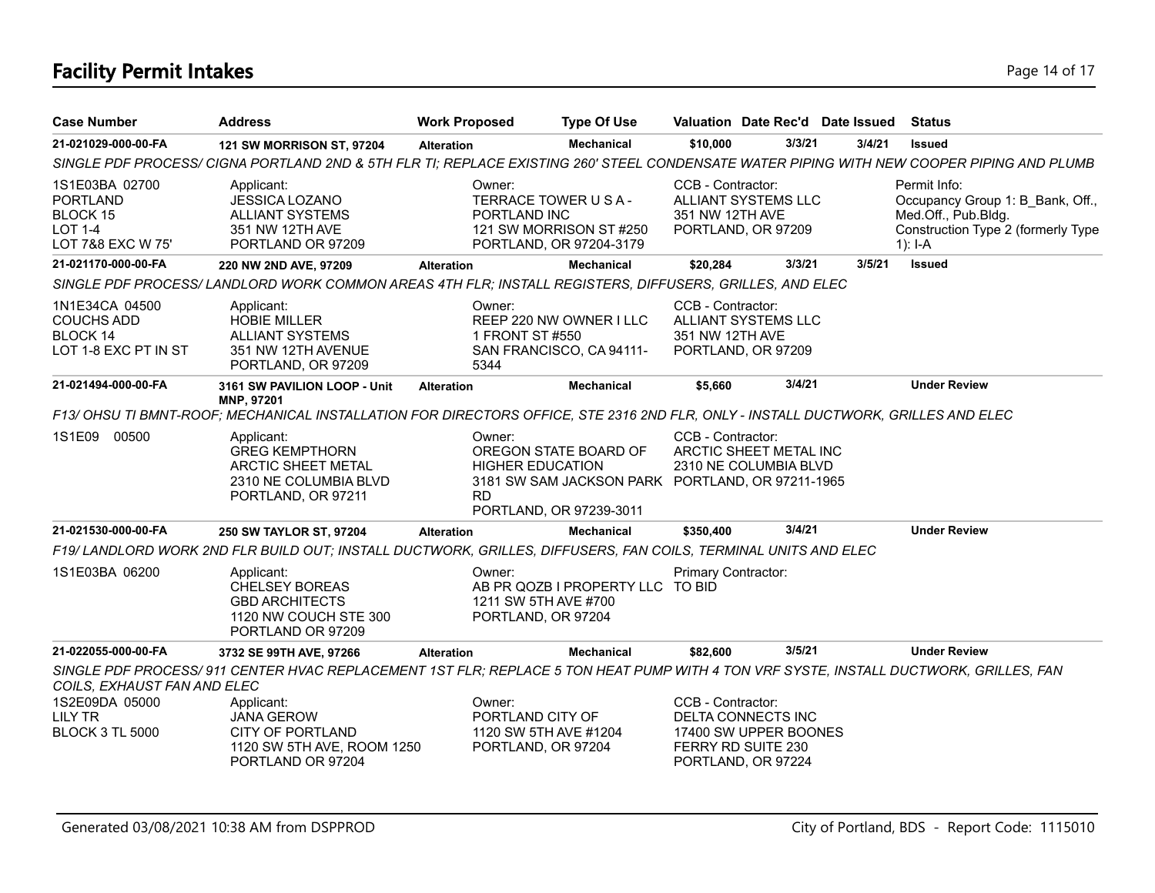# **Facility Permit Intakes** Page 14 of 17

| <b>Case Number</b>                                                                   | <b>Address</b>                                                                                                                                                                                      | <b>Work Proposed</b> | <b>Type Of Use</b>                                                                                                              |                                      | Valuation Date Rec'd Date Issued                   |        | <b>Status</b>                                                                                                              |  |
|--------------------------------------------------------------------------------------|-----------------------------------------------------------------------------------------------------------------------------------------------------------------------------------------------------|----------------------|---------------------------------------------------------------------------------------------------------------------------------|--------------------------------------|----------------------------------------------------|--------|----------------------------------------------------------------------------------------------------------------------------|--|
| 21-021029-000-00-FA                                                                  | 121 SW MORRISON ST, 97204                                                                                                                                                                           | <b>Alteration</b>    | <b>Mechanical</b>                                                                                                               | \$10,000                             | 3/3/21                                             | 3/4/21 | <b>Issued</b>                                                                                                              |  |
|                                                                                      | SINGLE PDF PROCESS/ CIGNA PORTLAND 2ND & 5TH FLR TI; REPLACE EXISTING 260' STEEL CONDENSATE WATER PIPING WITH NEW COOPER PIPING AND PLUMB                                                           |                      |                                                                                                                                 |                                      |                                                    |        |                                                                                                                            |  |
| 1S1E03BA 02700<br><b>PORTLAND</b><br>BLOCK 15<br><b>LOT 1-4</b><br>LOT 7&8 EXC W 75' | Applicant:<br><b>JESSICA LOZANO</b><br><b>ALLIANT SYSTEMS</b><br>351 NW 12TH AVE<br>PORTLAND OR 97209                                                                                               | Owner:               | TERRACE TOWER U S A -<br>PORTLAND INC<br>121 SW MORRISON ST #250<br>PORTLAND, OR 97204-3179                                     | CCB - Contractor:<br>351 NW 12TH AVE | ALLIANT SYSTEMS LLC<br>PORTLAND, OR 97209          |        | Permit Info:<br>Occupancy Group 1: B Bank, Off.,<br>Med.Off., Pub.Bldg.<br>Construction Type 2 (formerly Type<br>$1$ : I-A |  |
| 21-021170-000-00-FA                                                                  | 220 NW 2ND AVE, 97209                                                                                                                                                                               | <b>Alteration</b>    | <b>Mechanical</b>                                                                                                               | \$20,284                             | 3/3/21                                             | 3/5/21 | <b>Issued</b>                                                                                                              |  |
|                                                                                      | SINGLE PDF PROCESS/LANDLORD WORK COMMON AREAS 4TH FLR; INSTALL REGISTERS, DIFFUSERS, GRILLES, AND ELEC                                                                                              |                      |                                                                                                                                 |                                      |                                                    |        |                                                                                                                            |  |
| 1N1E34CA 04500<br><b>COUCHS ADD</b><br>BLOCK 14<br>LOT 1-8 EXC PT IN ST              | Applicant:<br><b>HOBIE MILLER</b><br><b>ALLIANT SYSTEMS</b><br>351 NW 12TH AVENUE<br>PORTLAND, OR 97209                                                                                             | Owner:<br>5344       | REEP 220 NW OWNER I LLC<br>1 FRONT ST #550<br>SAN FRANCISCO, CA 94111-                                                          | CCB - Contractor:<br>351 NW 12TH AVE | <b>ALLIANT SYSTEMS LLC</b><br>PORTLAND, OR 97209   |        |                                                                                                                            |  |
| 21-021494-000-00-FA                                                                  | 3161 SW PAVILION LOOP - Unit                                                                                                                                                                        | <b>Alteration</b>    | <b>Mechanical</b>                                                                                                               | \$5,660                              | 3/4/21                                             |        | <b>Under Review</b>                                                                                                        |  |
|                                                                                      | MNP, 97201<br>F13/ OHSU TI BMNT-ROOF; MECHANICAL INSTALLATION FOR DIRECTORS OFFICE, STE 2316 2ND FLR, ONLY - INSTALL DUCTWORK, GRILLES AND ELEC                                                     |                      |                                                                                                                                 |                                      |                                                    |        |                                                                                                                            |  |
| 1S1E09 00500                                                                         | Applicant:<br><b>GREG KEMPTHORN</b><br><b>ARCTIC SHEET METAL</b><br>2310 NE COLUMBIA BLVD<br>PORTLAND, OR 97211                                                                                     | Owner:<br><b>RD</b>  | OREGON STATE BOARD OF<br><b>HIGHER EDUCATION</b><br>3181 SW SAM JACKSON PARK PORTLAND, OR 97211-1965<br>PORTLAND, OR 97239-3011 | CCB - Contractor:                    | ARCTIC SHEET METAL INC<br>2310 NE COLUMBIA BLVD    |        |                                                                                                                            |  |
| 21-021530-000-00-FA                                                                  | 250 SW TAYLOR ST, 97204                                                                                                                                                                             | <b>Alteration</b>    | <b>Mechanical</b>                                                                                                               | \$350,400                            | 3/4/21                                             |        | <b>Under Review</b>                                                                                                        |  |
|                                                                                      | F19/ LANDLORD WORK 2ND FLR BUILD OUT; INSTALL DUCTWORK, GRILLES, DIFFUSERS, FAN COILS, TERMINAL UNITS AND ELEC                                                                                      |                      |                                                                                                                                 |                                      |                                                    |        |                                                                                                                            |  |
| 1S1E03BA 06200                                                                       | Applicant:<br><b>CHELSEY BOREAS</b><br><b>GBD ARCHITECTS</b><br>1120 NW COUCH STE 300<br>PORTLAND OR 97209                                                                                          | Owner:               | AB PR QOZB I PROPERTY LLC TO BID<br>1211 SW 5TH AVE #700<br>PORTLAND, OR 97204                                                  | <b>Primary Contractor:</b>           |                                                    |        |                                                                                                                            |  |
| 21-022055-000-00-FA                                                                  | 3732 SE 99TH AVE, 97266                                                                                                                                                                             | <b>Alteration</b>    | <b>Mechanical</b>                                                                                                               | \$82,600                             | 3/5/21                                             |        | <b>Under Review</b>                                                                                                        |  |
| COILS, EXHAUST FAN AND ELEC<br>1S2E09DA 05000<br>LILY TR<br><b>BLOCK 3 TL 5000</b>   | SINGLE PDF PROCESS/ 911 CENTER HVAC REPLACEMENT 1ST FLR; REPLACE 5 TON HEAT PUMP WITH 4 TON VRF SYSTE, INSTALL DUCTWORK, GRILLES, FAN<br>Applicant:<br><b>JANA GEROW</b><br><b>CITY OF PORTLAND</b> | Owner:               | PORTLAND CITY OF<br>1120 SW 5TH AVE #1204                                                                                       | CCB - Contractor:                    | <b>DELTA CONNECTS INC</b><br>17400 SW UPPER BOONES |        |                                                                                                                            |  |
|                                                                                      | 1120 SW 5TH AVE, ROOM 1250<br>PORTLAND OR 97204                                                                                                                                                     |                      | PORTLAND, OR 97204                                                                                                              |                                      | FERRY RD SUITE 230<br>PORTLAND, OR 97224           |        |                                                                                                                            |  |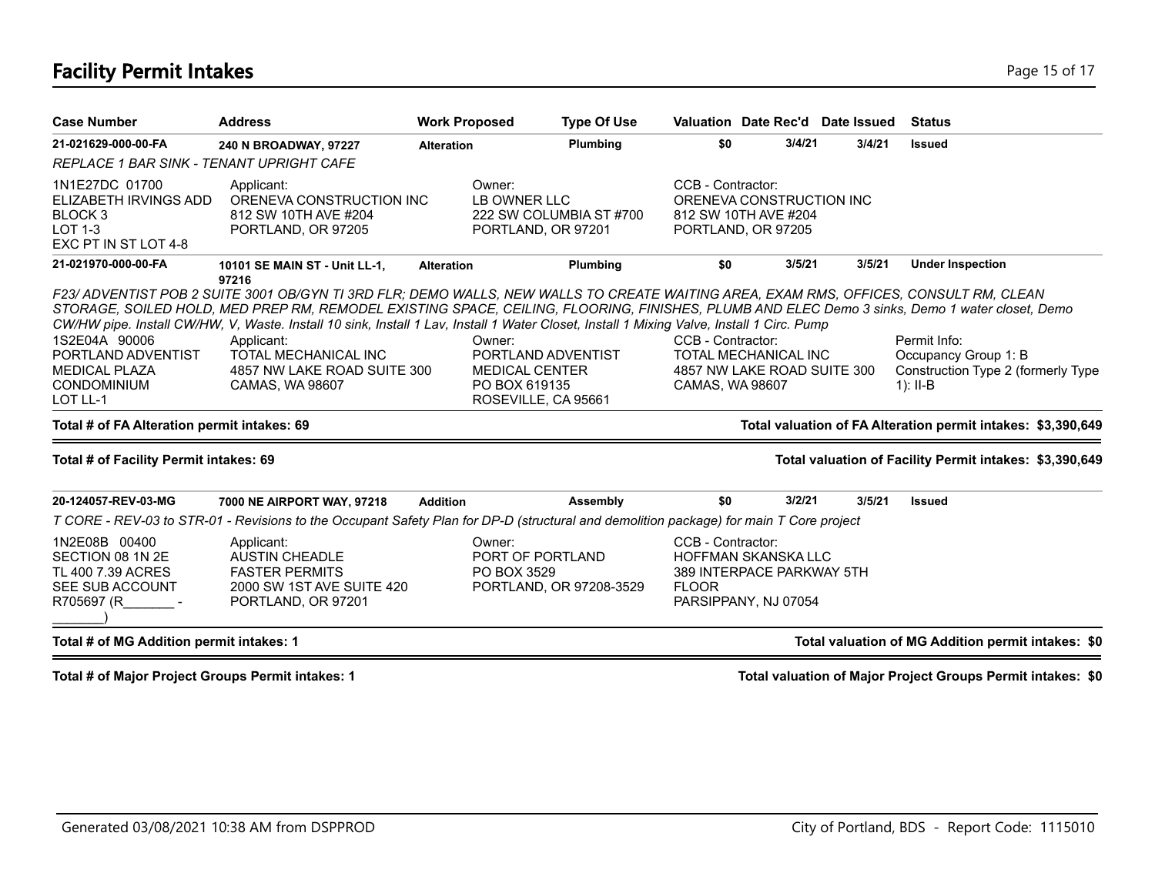### **Facility Permit Intakes** Page 15 of 17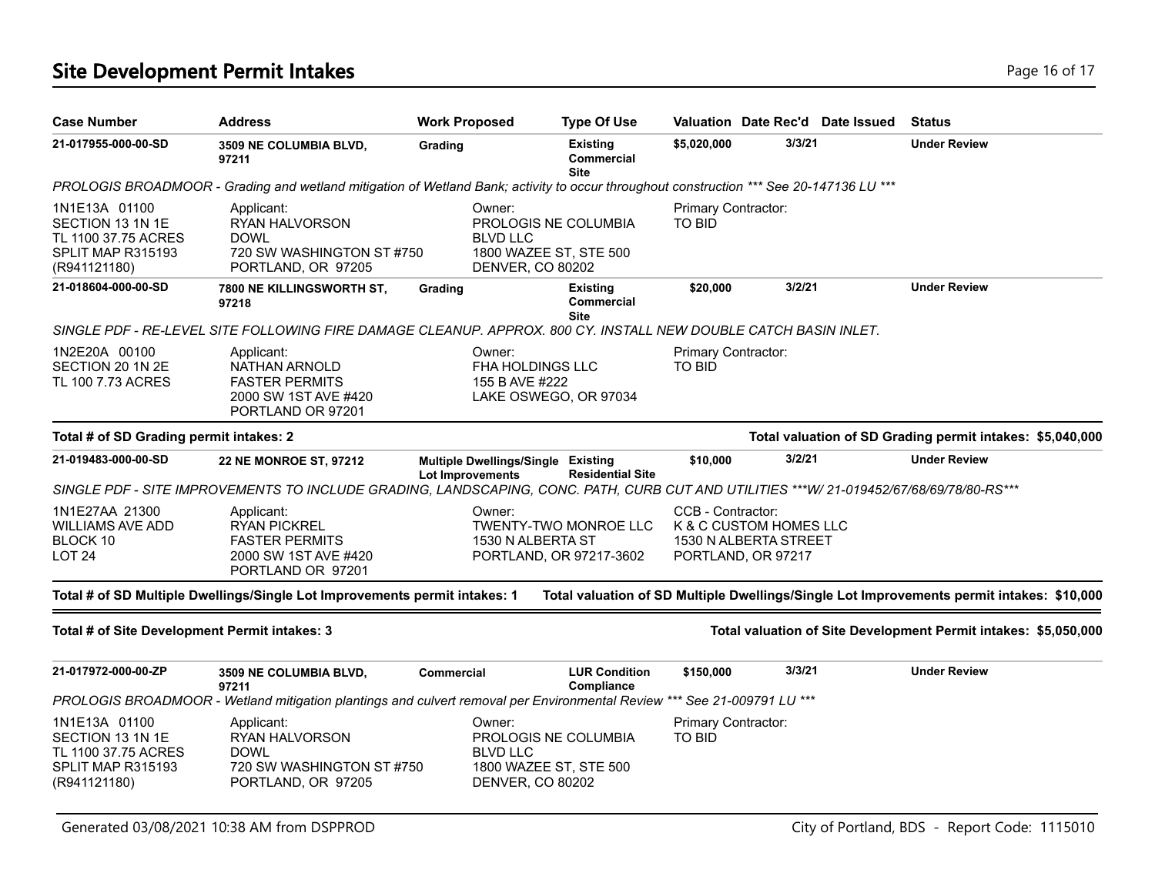### **Site Development Permit Intakes Page 16 of 17 Page 16 of 17**

| <b>Case Number</b>                                                                            | Address                                                                                                                                 | <b>Work Proposed</b>                                          | <b>Type Of Use</b>                                      |                                      |                                                                       | Valuation Date Rec'd Date Issued | <b>Status</b>                                                                             |
|-----------------------------------------------------------------------------------------------|-----------------------------------------------------------------------------------------------------------------------------------------|---------------------------------------------------------------|---------------------------------------------------------|--------------------------------------|-----------------------------------------------------------------------|----------------------------------|-------------------------------------------------------------------------------------------|
| 21-017955-000-00-SD                                                                           | <b>3509 NE COLUMBIA BLVD,</b><br>97211                                                                                                  | Grading                                                       | <b>Existing</b><br><b>Commercial</b><br><b>Site</b>     | \$5,020,000                          | 3/3/21                                                                |                                  | <b>Under Review</b>                                                                       |
|                                                                                               | PROLOGIS BROADMOOR - Grading and wetland mitigation of Wetland Bank; activity to occur throughout construction *** See 20-147136 LU *** |                                                               |                                                         |                                      |                                                                       |                                  |                                                                                           |
| 1N1E13A 01100<br>SECTION 13 1N 1E<br>TL 1100 37.75 ACRES<br>SPLIT MAP R315193<br>(R941121180) | Applicant:<br>RYAN HALVORSON<br><b>DOWL</b><br>720 SW WASHINGTON ST #750<br>PORTLAND, OR 97205                                          | Owner:<br><b>BLVD LLC</b><br><b>DENVER, CO 80202</b>          | PROLOGIS NE COLUMBIA<br>1800 WAZEE ST, STE 500          | Primary Contractor:<br><b>TO BID</b> |                                                                       |                                  |                                                                                           |
| 21-018604-000-00-SD                                                                           | <b>7800 NE KILLINGSWORTH ST,</b><br>97218                                                                                               | Grading                                                       | <b>Existing</b><br>Commercial<br><b>Site</b>            | \$20,000                             | 3/2/21                                                                |                                  | <b>Under Review</b>                                                                       |
|                                                                                               | SINGLE PDF - RE-LEVEL SITE FOLLOWING FIRE DAMAGE CLEANUP. APPROX. 800 CY. INSTALL NEW DOUBLE CATCH BASIN INLET.                         |                                                               |                                                         |                                      |                                                                       |                                  |                                                                                           |
| 1N2E20A 00100<br>SECTION 20 1N 2E<br>TL 100 7.73 ACRES                                        | Applicant:<br><b>NATHAN ARNOLD</b><br><b>FASTER PERMITS</b><br>2000 SW 1ST AVE #420<br>PORTLAND OR 97201                                | Owner:<br>FHA HOLDINGS LLC<br>155 B AVE #222                  | LAKE OSWEGO, OR 97034                                   | Primary Contractor:<br><b>TO BID</b> |                                                                       |                                  |                                                                                           |
| Total # of SD Grading permit intakes: 2                                                       |                                                                                                                                         |                                                               |                                                         |                                      |                                                                       |                                  | Total valuation of SD Grading permit intakes: \$5,040,000                                 |
| 21-019483-000-00-SD                                                                           | 22 NE MONROE ST, 97212                                                                                                                  | Multiple Dwellings/Single Existing<br><b>Lot Improvements</b> | <b>Residential Site</b>                                 | \$10,000                             | 3/2/21                                                                |                                  | <b>Under Review</b>                                                                       |
|                                                                                               | SINGLE PDF - SITE IMPROVEMENTS TO INCLUDE GRADING, LANDSCAPING, CONC. PATH, CURB CUT AND UTILITIES ***W/ 21-019452/67/68/69/78/80-RS*** |                                                               |                                                         |                                      |                                                                       |                                  |                                                                                           |
| 1N1E27AA 21300<br><b>WILLIAMS AVE ADD</b><br>BLOCK 10<br>LOT 24                               | Applicant:<br><b>RYAN PICKREL</b><br><b>FASTER PERMITS</b><br>2000 SW 1ST AVE #420<br>PORTLAND OR 97201                                 | Owner:<br>1530 N ALBERTA ST                                   | <b>TWENTY-TWO MONROE LLC</b><br>PORTLAND, OR 97217-3602 | CCB - Contractor:                    | K & C CUSTOM HOMES LLC<br>1530 N ALBERTA STREET<br>PORTLAND, OR 97217 |                                  |                                                                                           |
|                                                                                               | Total # of SD Multiple Dwellings/Single Lot Improvements permit intakes: 1                                                              |                                                               |                                                         |                                      |                                                                       |                                  | Total valuation of SD Multiple Dwellings/Single Lot Improvements permit intakes: \$10,000 |
| Total # of Site Development Permit intakes: 3                                                 |                                                                                                                                         |                                                               |                                                         |                                      |                                                                       |                                  | Total valuation of Site Development Permit intakes: \$5,050,000                           |
| 21-017972-000-00-ZP                                                                           | 3509 NE COLUMBIA BLVD,<br>97211                                                                                                         | <b>Commercial</b>                                             | <b>LUR Condition</b><br>Compliance                      | \$150,000                            | 3/3/21                                                                |                                  | <b>Under Review</b>                                                                       |
|                                                                                               | PROLOGIS BROADMOOR - Wetland mitigation plantings and culvert removal per Environmental Review *** See 21-009791 LU ***                 |                                                               |                                                         |                                      |                                                                       |                                  |                                                                                           |
| 1N1E13A 01100<br>SECTION 13 1N 1E<br>TL 1100 37.75 ACRES<br>SPLIT MAP R315193<br>(R941121180) | Applicant:<br>RYAN HALVORSON<br><b>DOWL</b><br>720 SW WASHINGTON ST#750<br>PORTLAND, OR 97205                                           | Owner:<br>BLVD LLC<br><b>DENVER, CO 80202</b>                 | PROLOGIS NE COLUMBIA<br>1800 WAZEE ST, STE 500          | Primary Contractor:<br><b>TO BID</b> |                                                                       |                                  |                                                                                           |